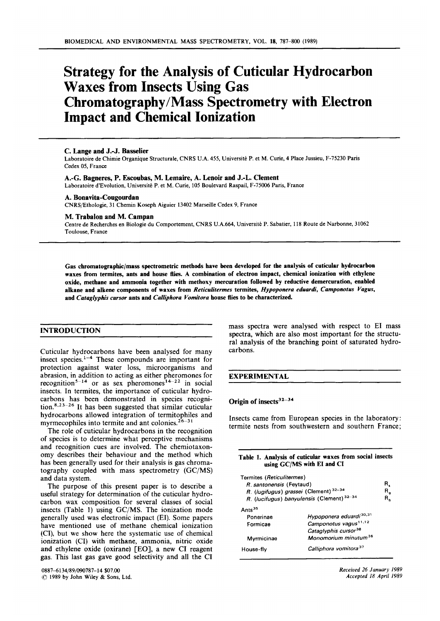# **Strategy for the Analysis of Cuticular Hydrocarbon Waxes from Insects Using Gas Chromatography/Mass Spectrometry with Electron Impact and Chemical Ionization**

# **C. Lange and J.-J. Basselier**

~ ~

Laboratoire de Chimie Organique Structurale, CNRS **U.A. 455,** Université P. et M. Curie, **4** Place Jussieu, **F-75230 Park**  Cedex **05,** France

# **A.-G. Bagneres, P. Escoubas, M. Lemaire, A. Lenoir and J.-L. Clement**

Laboratoire d'Evolution, Université **P.** et M. Cune, **105** Boulevard Raspail, **F-75006** Paris, France

# **A. Bonavita-Cougourdan**

CNRS/Ethologie, **31** Chemin Koseph Aiguier **13402** Marseille Cedex **9,** France

## M. **Trabalon and M. Campan**

Centre de Recherches en Biologie du Comportement, CNRS **U.A.664,** Université P. Sabatier, **118** Route de Narbonne, **31062**  Toulouse, France

**Gas chromatogaphic/mass spectrometric methods have been deveioped for tbe analysis of cuticular hydrocarbon waxes from termites, ants and house fies. A combination of eiectron impact, chemical ionization with ethylene**  oxide, methane and ammonia together with methoxy mercuration followed by reductive demercuration, enabled **aikane and alkene components of waxes from** *Reticuiitermes* **termites,** *Hypoponera eduardi, Camponotus Vagus,*  **and** *Catagt'yphis cursor* **ants and** *Cailiphora Vomitora* **house flies to be characterized.** 

# **INTRODUCTION**

Cuticular hydrocarbons have been analysed for many insect species.<sup>1-4</sup> These compounds are important for protection against water loss, microorganisms and abrasion, in addition to acting as either pheromones for recognition<sup>5-14</sup> or as sex pheromones<sup>14-22</sup> in social insects. In termites, the importance of cuticular hydrocarbons has been demonstrated in species recognition. *8* **<sup>2</sup>**3- 26 It has been suggested that similar cuticular hydrocarbons allowed integration of termitophiles and myrmecophiles into termite and ant colonies. $26-31$ 

The role of cuticular hydrocarbons in the recognition of species is to determine what perceptive mechanisms and recognition cues are involved. The chemiotaxonomy describes their behaviour and the method which has been generally used **for** their analysis **is** gas chromatography coupled with mass spectrometry **(GC/MS)**  and data system.

The purpose of this present paper **is** to describe a useful strategy for determination of the cuticular hydrocarbon wax composition for several classes of social insects (Table **1)** using **GC/MS.** The ionization mode generally used was electronic impact (EI). Some papers have mentioned use **of** methane chemical ionization **(CI),** but we show here the systematic use of chemical ionization **(CI)** with methane, ammonia, nitric oxide and ethylene oxide (oxirane) **CEO],** a new **CI** reagent gas. This last gas gave good selectivity and al1 the **CI** 

mass spectra were analysed with respect to **E1** mas spectra, which are also most important for the structural analysis of the branching point of saturated hydrocarbons.

# **EXPERIMENTAL**

# **Origin of insects**<sup>32-34</sup>

Insects came from European species in the laboratory: termite nests from southwestern and southern France;

# **Table 1. Analysis of cuticular waxes from social insects using GC/MS with E1 and CI**

| Termites (Reticulitermes)<br>R. santonensis (Feytaud)<br>R. (lugifugus) grassei (Clement) 32-34 | R. (lucifugus) banyulensis (Clement) 32-34 | R.<br>R,<br>В. |
|-------------------------------------------------------------------------------------------------|--------------------------------------------|----------------|
| Ants <sup>35</sup>                                                                              |                                            |                |
| Ponerinae                                                                                       | Hypoponera eduardi <sup>30,31</sup>        |                |
| Formicae                                                                                        | Camponotus vagus <sup>11,12</sup>          |                |
|                                                                                                 | Cataglyphis cursor <sup>38</sup>           |                |
| Myrmicinae                                                                                      | Monomorium minutum <sup>36</sup>           |                |
| House-fly                                                                                       | Calliphora vomitora <sup>37</sup>          |                |
|                                                                                                 |                                            |                |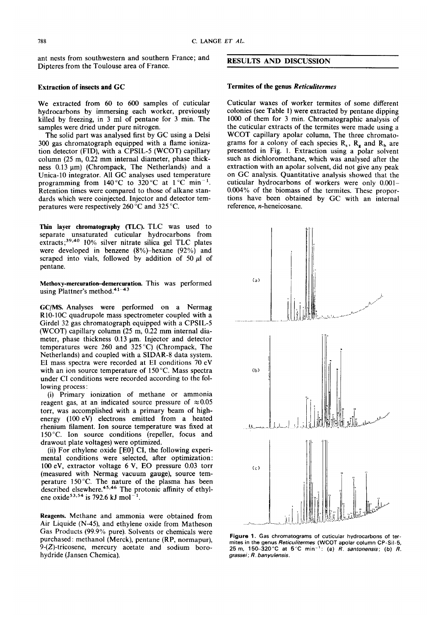ant nests from southwestern and southern France ; and Dipteres from the Toulouse area of France.

# **Extraction of insects and GC**

We extracted from 60 to 600 samples of cuticular hydrocarbons by immersing each worker, previously killed by freezing, in 3 ml of pentane for 3 min. The samples were dried under pure nitrogen.

The soiid part was analysed first by GC using a Delsi 300 gas chromatograph equipped with a flame ionization detector (FID), with a CPSIL-5 (WCOT) capillary column (25 m, 0.22 mm internal diameter, phase thickness  $0.13 \mu m$ ) (Chrompack, The Netherlands) and a Unica-10 integrator. Al1 GC analyses used temperature programming from  $140^{\circ}$ C to  $320^{\circ}$ C at  $1^{\circ}$ C min<sup>-1</sup>. Retention times were compared to those of alkane standards which were coinjected. Injector and detector temperatures were respectively 260 "C and 325 "C.

Thin layer chromatography (TLC). TLC was used to separate unsaturated cuticular hydrocarbons from extracts;<sup>39,40</sup> 10% silver nitrate silica gel TLC plates were developed in benzene  $(8\%)$ -hexane  $(92\%)$  and scraped into vials, followed by addition of 50  $\mu$ l of pentane.

Methoxy-mercuration-demercuration. This was performed using Plattner's method. $41-43$ 

**GC/MS.** Analyses were performed on a Nermag R10-10C quadrupole mass spectrometer coupled with a Girdel 32 gas chromatograph equipped with a CPSIL-5 (WCOT) capillary column (25 m, 0.22 mm internal diameter, phase thickness  $0.13 \mu m$ . Injector and detector temperatures were 260 and 325 "C) (Chrompack, The Netherlands) and coupled with a SIDAR-8 data system. **E1** mas spectra were recorded at **E1** conditions 70 eV with an ion source temperature of 150 °C. Mass spectra under CI conditions were recorded according to the following process :

(i) Primary ionization of methane or ammonia reagent gas, at an indicated source pressure of  $\approx 0.05$ torr, was accompiished with a primary beam of highenergy (100 eV) electrons emitted from a heated rhenium filament. Ion source temperature was fixed at 150 °C. Ion source conditions (repeller, focus and drawout plate voltages) were optimized.

(ii) For ethylene oxide  $[EO]$  CI, the following experimental conditions were selected, after optimization : 100 eV, extractor voitage 6 V, **E0** pressure 0.03 torr (measured with Nermag vacuum gauge), source temperature 150°C. The nature of the plasma has been described elsewhere.<sup>45,46</sup> The protonic affinity of ethylene oxide<sup>53,54</sup> is 792.6 kJ mol<sup>-</sup>

**Reagents.** Methane and ammonia were obtained from Air Liquide (N-43, and ethylene oxide from Matheson Gas Products (99.9% pure). Solvents or chemicals were purchased : methanoi (Merck), pentane (RP, normapur), 9-(Z)-tricosene, mercury acetate and sodium borohydride (Jansen Chemica).

# **RESULTS AND DISCUSSION**

## **Termites of the genus** *Reticulitermes*

Cuticular waxes of worker termites of some different coionies (see Tabie 1) were extracted by pentane dipping 1000 of them for 3 min. Chromatographic analysis of the cuticular extracts of the termites were made using a WCOT capillary apolar column, The three chromatograms for a colony of each species  $R_s$ ,  $R_g$  and  $R_b$  are presented in Fig. 1. Extraction using a polar solvent such as dichloromethane, which was analysed after the extraction with an apoiar soivent, did not give any peak on GC analysis. Quantitative analysis showed that the cuticular hydrocarbons of workers were only 0.001- 0.004% of the biomass of the termites. These proportions have been obtained by GC with an internal reference, n-heneicosane.



**Figure 1. Gas chrornatograrns of cuticular hydrocarbons of terrnites** in **the genus** *Reticditermes* **(WCOT apolar** colurnn **CP-Sil-5, 25** rn, **15G32O"C at 5°C** rnin-': **(a)** *R. santonensis;* **(b)** *R. grassei* ; *R. ban yulensis.*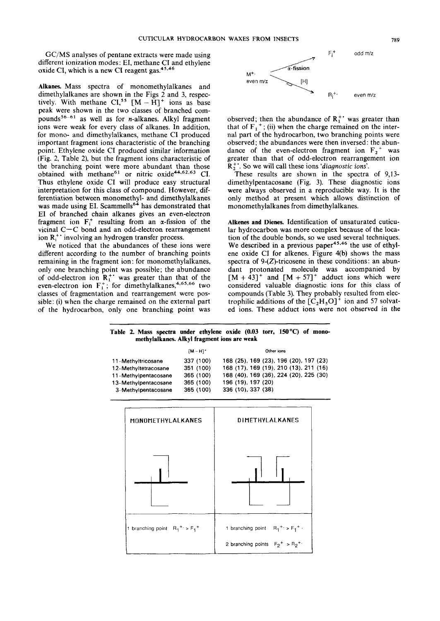GC/MS analyses of pentane extracts were made using different ionization modes: EI, methane CI and ethylene oxide CI, which is a new CI reagent gas. $45,46$ 

**Alkanes.** Mass spectra of monomethylalkanes and dimethylalkanes are shown in the Figs 2 and **3,** respectively. With methane  $CI^{55}$   $[M - H]^{+}$  ions as base peak were shown in the two classes of branched compounds<sup>56-61</sup> as well as for *n*-alkanes. Alkyl fragment ions were weak for every class of alkanes. In addition, for mono- and dimethylalkanes, methane CI produced important fragment ions characteristic of the branching point. Ethylene oxide **CI** produced similar information (Fig. 2, Table *2),* but the fragment ions characteristic of the branching point were more abundant than those obtained with methane<sup>61</sup> or nitric oxide<sup>44,62,63</sup> CI. Thus ethylene oxide CI will produce easy structural interpretation for this class of compound. However, differentiation between monomethyl- and dimethylalkanes was made using EI. Scammells<sup>64</sup> has demonstrated that E1 of branched chain alkanes gives an even-electron fragment ion  $F_i^+$  resulting from an  $\alpha$ -fission of the vicinal  $C-C$  bond and an odd-electron rearrangement ion  $R_i^+$  involving an hydrogen transfer process.

**We** noticed that the abundances of these ions were different according to the number of branching points remaining in the fragment ion: for monomethylalkanes, only one branching point was posible; the abundance of odd-electron ion **R:'** was greater than that of the even-electron ion  $F_1^+$ ; for dimethylalkanes,<sup>4,65,66</sup> two classes of fragmentation and rearrangement were possible: (i) when the charge remained on the external part of the hydrocarbon, only one branching point was



observed; then the abundance of  $R_1^+$  was greater than that of  $F_1^+$ ; (ii) when the charge remained on the internal part of the hydrocarbon, two branching points were observed ; the abundances were then inversed : the abundance of the even-electron fragment ion  $F_2$ <sup>+</sup> was greater than that of odd-electron rearrangement ion Ri'. *So* we will cal1 these ions *'diagnostic ions'.* 

These results are shown in the spectra of **9,13**  dimethylpentacosane (Fig. 3). These diagnostic ions were always observed in a reproducible way. It is the only method at present which allows distinction of monomethylalkanes from dimethylalkanes.

**Alkenes and Dienes.** Identification of unsaturated cuticular hydrocarbon **was** more complex because of the location of the double bonds, so we used several techniques. We described in a previous paper<sup>45,46</sup> the use of ethylene oxide CI for alkenes. Figure 4(b) shows the mas spectra of  $9-(Z)$ -tricosene in these conditions: an abundant protonated molecule was accompanied by  $[M + 43]$ <sup>+</sup> and  $[M + 57]$ <sup>+</sup> adduct ions which were considered valuable diagnostic ions for this class *of*  compounds (Table 3). They probably resulted from electrophilic additions of the  $\left[\overline{C}_2H_5O\right]^+$  ion and 57 solvated ions. These adduct ions were not observed in the

Table 2. Mass spectra under ethylene oxide (0.03 torr, 150 °C) of mono**methylalkanes. Alkyl fragment ions are weak** 

|                      | $[M-H]^+$ | Other ions                             |
|----------------------|-----------|----------------------------------------|
| 11-Methyltricosane   | 337 (100) | 168 (25), 169 (23), 196 (20), 197 (23) |
| 12-Methyltetracosane | 351 (100) | 168 (17), 169 (19), 210 (13), 211 (16) |
| 11-Methylpentacosane | 365 (100) | 168 (40), 169 (36), 224 (20), 225 (30) |
| 13-Methylpentacosane | 365 (100) | 196 (19), 197 (20)                     |
| 3-Methylpentacosane  | 365 (100) | 336 (10), 337 (38)                     |

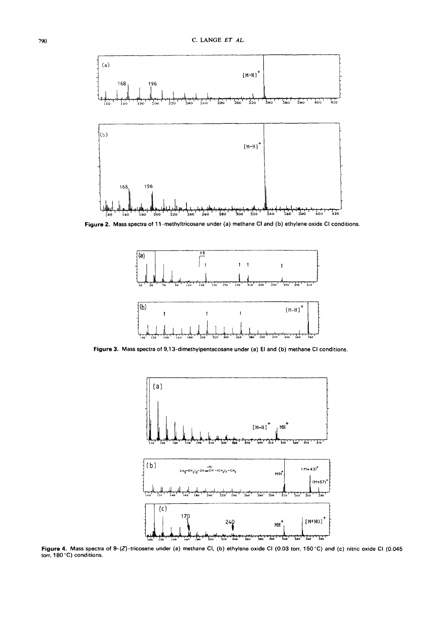

**Figure 2. Mass spectra of 11 -methyltricosane under (a) methane CI and (b) ethylene oxide CI conditions.** 



**Figure 3. Mass spectra of 9.1 3-dirnethyipentacosane under (a) El and (b) methane CI conditions.** 



**Figure 4. Mass spectra of g-(Z)-tricosene under (a) methane CI,** *(b)* **ethylene oxide CI (0.03 torr, 150°C) and (c) nitric oxide CI (0.045 torr, 180 "C) conditions.**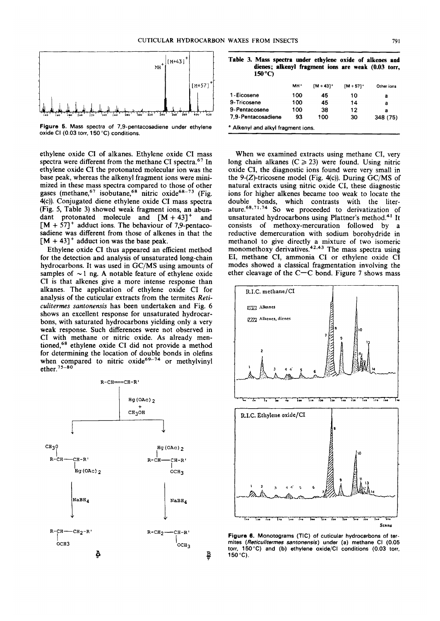

Figure 5. Mass spectra of 7,9-pentacosadiene under ethylene **oxide CI (0.03 torr, 150 "C) conditions.** 

ethylene oxide CI of aikanes. Ethylene oxide CI mass spectra were different from the methane CI spectra.<sup>67</sup> In ethyiene oxide CI the protonated molecuiar ion was the base peak, whereas the alkenyi fragment ions were minimized in these mass spectra compared to those of other gases (methane,<sup>67</sup> isobutane,<sup>68</sup> nitric oxide<sup>68-73</sup> (Fig. qc)). Conjugated diene ethylene oxide CI mass spectra (Fig. *5,* Table 3) showed weak fragment ions, an abundant protonated molecuie and [M + **431'** and  $[M + 57]^+$  adduct ions. The behaviour of 7,9-pentacosadiene was different from those of alkenes in that the  $[M + 43]$ <sup>+</sup> adduct ion was the base peak.

Ethyiene oxide CI thus appeared an effícient method for the detection and analysis of unsaturated iong-chain hydrocarbons. It was used in GC/MS using amounts of samples of  $\sim$ 1 ng. A notable feature of ethylene oxide CI is that aikenes give a more intense response than aikanes. The application of ethyiene oxide CI for analysis of the cuticular extracts from the termites *Reticulitermes santonensis* has been undertaken and Fig. 6 shows an excellent response for unsaturated hydrocarbons, with saturated hydrocarbons yielding oniy a very weak response. Such differences were not observed in CI with methane or nitric oxide. As already mentioned,68 ethyiene oxide CI did not provide a method for determining the location of double bonds in olefins when compared to nitric oxide<sup>69–74</sup> or methylvinyl ether. *75-80* 



Table 3. Mass spectra under ethylene oxide of alkenes and **dienes; alkenyl fragment ions are weak (0.03 torr, 150 "C)** 

|                                               | MH <sup>+</sup> | $[M + 43]$ <sup>+</sup> | $[M + 57]$ <sup>+</sup> | Other ions |
|-----------------------------------------------|-----------------|-------------------------|-------------------------|------------|
| 1-Eicosene                                    | 100             | 45                      | 10                      | а          |
| 9-Tricosene                                   | 100             | 45                      | 14                      | а          |
| 9-Pentacosene                                 | 100             | 38                      | 12                      | а          |
| 7,9-Pentacosadiene                            | 93              | 100                     | 30                      | 348 (75)   |
| <sup>a</sup> Alkenyl and alkyl fragment ions. |                 |                         |                         |            |

When we examined extracts using methane CI, very long chain alkanes  $(C \ge 23)$  were found. Using nitric oxide CI, the diagnostic ions found were very small in the 9- $(Z)$ -tricosene model (Fig. 4(c)). During GC/MS of natural extracts using nitric oxide CI, these diagnostic ions for higher aikenes became too weak to locate the double bonds, which contrasts with the literature.<sup>68,71,74</sup> So we proceeded to derivatization of unsaturated hydrocarbons using Plattner's method.<sup>41</sup> It consists of methoxy-mercuration followed by a reductive demercuration with sodium borohydride in methanol to give directiy a mixture of two isomeric monomethoxy derivatives.<sup>42,43</sup> The mass spectra using EI, methane CI, ammonia CI or ethyiene oxide CI modes showed a ciassical fragmentation involving the ether cleavage of the  $C-C$  bond. Figure 7 shows mass



**Figure 6. Monotograms (TIC) of cuticuiar hydrocarbons of termites** *(Reticuiitermes santonensis)* **under (a) methane CI (0.05 torr, 150°C) and (b) ethylene oxide/CI conditions (0.03 torr, 150°C).** 

**B**  *v*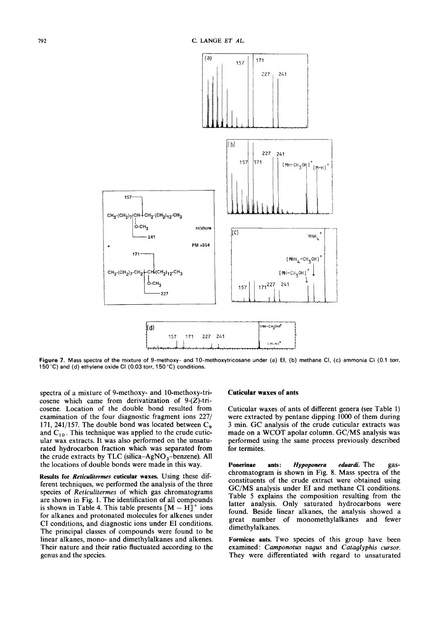

Figure 7. Mass spectra of the mixture of 9-methoxy- and 10-methoxytricosane under (a) El, (b) methane Cl, (c) ammonia Cl (0.1 torr, **150°C) and (d) ethylene oxide CI (0.03 torr, 150°C) conditions.** 

spectra of a mixture of 9-methoxy- and 10-methoxy-tricosene which came from derivatization of 9-(Z)-tricosene. Location of the double bond resulted from examination of the four diagnostic fragment ions 227/ 171, 241/157. The double bond was located between  $C_9$ and  $C_{10}$ . This technique was applied to the crude cuticular wax extracts. It was also performed on the unsaturated hydrocarbon fraction which was separated from the crude extracts by TLC (silica- $AgNO<sub>3</sub>$ -benzene). All the locations of double bonds were made in this way.

**Results for** *Reiicuütermes* **cuticular waxes.** Using these different techniques, we performed the analysis of the three species of *Reticulitermes* of which gas chromatograms are shown in Fig. 1. The identification of al1 compounds is shown in Table 4. This table presents  $[M - H]$ <sup>+</sup> ions for alkanes and protonated molecules for alkenes under CI conditions, and diagnostic ions under E1 conditions. The principal classes of compounds were found to be linear alkanes, mono- and dimethylalkanes and alkenes. Their nature and their ratio fluctuated according to the genus and the species.

# **Cuticular waxes of ants**

Cuticular waxes of ants of different genera (see Table 1) were extracted by pentane dipping 1000 of them during 3 min. GC analysis of the crude cuticular extracts was made on a WCOT apolar column. GC/MS analysis was performed using the same process previously described **for** termites.

Ponerinae ants: *Hypoponera eduardi*. The gaschromatogram is shown in Fig. 8. Mass spectra of the constituents of the crude extract were obtained using GC/MS analysis under E1 and methane CI conditions. Table *5* explains the composition resulting from the latter analysis. Only saturated hydrocarbons were found. Beside linear alkanes, the analysis showed a great number of monomethylalkanes and fewer dimethylalkanes.

**Formicae ants.** Two species of this group have been examined : *Camponotus vagus* and *Cataglyphis cursor.*  They were differentiated with regard to unsaturated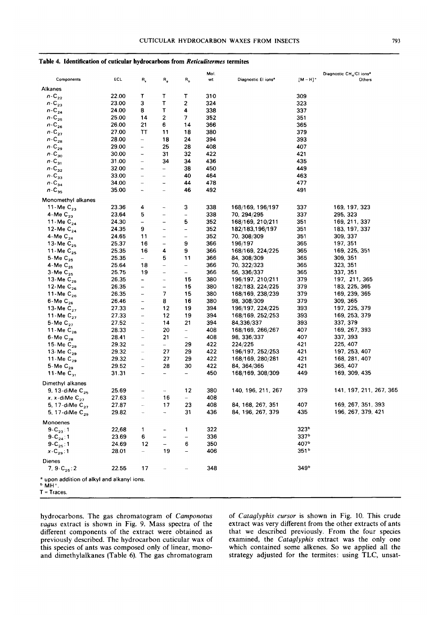| Table 4. Identification of cuticular hydrocarbons from Reticulitermes termites |  |  |
|--------------------------------------------------------------------------------|--|--|
|--------------------------------------------------------------------------------|--|--|

|                                                                                         |       |                              |                          |                          | Mol. |                                 |                  | Diagnostic CH <sub>4</sub> /CI ions <sup>®</sup> |
|-----------------------------------------------------------------------------------------|-------|------------------------------|--------------------------|--------------------------|------|---------------------------------|------------------|--------------------------------------------------|
| Components                                                                              | ECL   | R,                           | R,                       | $R_{b}$                  | wt   | Diagnostic El ions <sup>a</sup> | $[M - H]^+$      | Others                                           |
| Alkanes                                                                                 |       |                              |                          |                          |      |                                 |                  |                                                  |
| $n-C_{22}$                                                                              | 22.00 | т                            | Т                        | т                        | 310  |                                 | 309              |                                                  |
| $n-C_{23}$                                                                              | 23.00 | 3                            | $\mathsf{T}$             | 2                        | 324  |                                 | 323              |                                                  |
| $n-C_{24}$                                                                              | 24.00 | 8                            | T                        | 4                        | 338  |                                 | 337              |                                                  |
| $n\text{-}\mathbb{C}_{25}$                                                              | 25.00 | 14                           | 2                        | 7                        | 352  |                                 | 351              |                                                  |
| $n - C_{26}$                                                                            | 26.00 | 21                           | 6                        | 14                       | 366  |                                 | 365              |                                                  |
| $n-C_{27}$                                                                              | 27.00 | π                            | 11                       | 18                       | 380  |                                 | 379              |                                                  |
| $n\text{-}\mathbb{C}_{\mathbf{28}}$                                                     | 28.00 | $\overline{\phantom{0}}$     | 18                       | 24                       | 394  |                                 | 393              |                                                  |
| $n-C_{29}$                                                                              | 29.00 | $\frac{1}{2}$                | 25                       | 28                       | 408  |                                 | 407              |                                                  |
| $n-C_{30}$                                                                              | 30.00 | $\qquad \qquad \blacksquare$ | 31                       | 32                       | 422  |                                 | 421              |                                                  |
| $n$ -C <sub>31</sub>                                                                    | 31.00 | $\qquad \qquad -$            | 34                       | 34                       | 436  |                                 | 435              |                                                  |
| $n\text{-}\mathbb{C}_{32}$                                                              | 32.00 | -                            | $\qquad \qquad -$        | 38                       | 450  |                                 | 449              |                                                  |
| $n-C_{33}$                                                                              | 33.00 | $\overline{\phantom{0}}$     | $\overline{\phantom{0}}$ | 40                       | 464  |                                 | 463              |                                                  |
| $n\text{-}\mathbb{C}_{34}$                                                              | 34.00 | $\overline{\phantom{0}}$     | $\qquad \qquad -$        | 44                       | 478  |                                 | 477              |                                                  |
| $n$ -C <sub>35</sub>                                                                    | 35.00 | $\overline{\phantom{0}}$     | $\overline{\phantom{0}}$ | 46                       | 492  |                                 | 491              |                                                  |
| Monomethyl alkanes                                                                      |       |                              |                          |                          |      |                                 |                  |                                                  |
| 11-Me $C_{23}$                                                                          | 23.36 | 4                            | $\overline{\phantom{a}}$ | 3                        | 338  | 168/169, 196/197                | 337              | 169, 197, 323                                    |
| 4-Me $C_{23}$                                                                           | 23.64 | 5                            | $\overline{\phantom{0}}$ | $\overline{\phantom{a}}$ | 338  | 70, 294/295                     | 337              | 295, 323                                         |
| 11-Me $C_{24}$                                                                          | 24.30 | $\qquad \qquad -$            | $\qquad \qquad -$        | 5                        | 352  | 168/169, 210/211                | 351              | 169, 211, 337                                    |
| 12-Me $C_{24}$                                                                          | 24.35 | 9                            | $\overline{\phantom{a}}$ | $\overline{\phantom{a}}$ | 352  | 182/183,196/197                 | 351              | 183, 197, 337                                    |
| 4-Me $C_{24}$                                                                           | 24.65 | 11                           | $\qquad \qquad -$        | $\qquad \qquad -$        | 352  | 70, 308/309                     | 351              | 309, 337                                         |
| 13-Me $C_{25}$                                                                          | 25.37 | 16                           | $\qquad \qquad -$        | 9                        | 366  | 196/197                         | 365              | 197, 351                                         |
| 11-Me $C_{25}$                                                                          | 25.35 | 16                           | 4                        | 9                        | 366  | 168/169, 224/225                | 365              | 169, 225, 351                                    |
| 5-Me $C_{25}$                                                                           | 25.35 | $\overline{\phantom{0}}$     | 5                        | 11                       | 366  | 84, 308/309                     | 365              | 309, 351                                         |
| 4-Me $C_{25}$                                                                           | 25.64 | 18                           | $\qquad \qquad -$        | $\overline{\phantom{0}}$ | 366  | 70, 322/323                     | 365              | 323, 351                                         |
| $3-MeC_{25}$                                                                            | 25.75 | 19                           | $\overline{\phantom{0}}$ | $\overline{\phantom{0}}$ | 366  | 56, 336/337                     | 365              | 337, 351                                         |
| 13-Me $C_{26}$                                                                          | 26.35 | -                            | $\overline{\phantom{a}}$ | 15                       | 380  | 196/197, 210/211                | 379              | 197, 211, 365                                    |
| 12-Me $C_{26}$                                                                          | 26.35 | $\qquad \qquad -$            | $\qquad \qquad -$        | 15                       | 380  | 182/183, 224/225                | 379              | 183, 225, 365                                    |
| 11-Me $C_{26}$                                                                          | 26.35 | -                            | 7                        | 15                       | 380  | 168/169, 238/239                | 379              | 169, 239, 365                                    |
| $6$ -Me $C_{26}$                                                                        | 26.46 | $\overline{\phantom{a}}$     | 8                        | 16                       | 380  | 98, 308/309                     | 379              | 309, 365                                         |
| 13-Me $C_{27}$                                                                          | 27.33 | $\overline{\phantom{0}}$     | 12                       | 19                       | 394  | 196/197, 224/225                | 393              | 197, 225, 379                                    |
| 11-Me $C_{27}$                                                                          | 27.33 | $\qquad \qquad -$            | 12                       | 19                       | 394  | 168/169, 252/253                | 393              | 169, 253, 379                                    |
| 5-Me $C_{27}$                                                                           | 27.52 | -                            | 14                       | 21                       | 394  | 84,336/337                      | 393              | 337, 379                                         |
| 11-Me $C_{28}$                                                                          | 28.33 | $\overline{\phantom{a}}$     | 20                       | $\overline{\phantom{a}}$ | 408  | 168/169, 266/267                | 407              | 169, 267, 393                                    |
| $6$ -Me $C_{28}$                                                                        | 28.41 | $\qquad \qquad -$            | 21                       | $-$                      | 408  | 98, 336/337                     | 407              | 337, 393                                         |
| 15-Me $C_{29}$                                                                          | 29.32 | $\qquad \qquad -$            | $-$                      | 29                       | 422  | 224/225                         | 421              | 225, 407                                         |
| 13-Me $C_{29}$                                                                          | 29.32 | $\overline{\phantom{0}}$     | 27                       | 29                       | 422  | 196/197, 252/253                | 421              | 197, 253, 407                                    |
| 11-Me $C_{29}$                                                                          | 29.32 | Ξ.                           | 27                       | 29                       | 422  | 168/169, 280/281                | 421              | 168, 281, 407                                    |
| 5-Me $C_{29}$                                                                           | 29.52 | $\qquad \qquad -$            | 28                       | 30                       | 422  | 84, 364/365                     | 421              | 365, 407                                         |
| 11-Me $C_{31}$                                                                          | 31.31 | $\frac{1}{2}$                | $\overline{\phantom{a}}$ | $\equiv$                 | 450  | 168/169, 308/309                | 449              | 169, 309, 435                                    |
| Dimethyl alkanes                                                                        |       |                              |                          |                          |      |                                 |                  |                                                  |
| 9, 13-diMe C <sub>25</sub>                                                              | 25.69 |                              |                          | 12                       | 380  | 140, 196, 211, 267              | 379              | 141, 197, 211, 267, 365                          |
| x, x-diMe $C_{27}$                                                                      | 27.63 | $\overline{\phantom{a}}$     | 16                       | $-$                      | 408  |                                 |                  |                                                  |
| 5, 17-diMe C <sub>27</sub>                                                              | 27.87 |                              | 17                       | 23                       | 408  | 84, 168, 267, 351               | 407              | 169, 267, 351, 393                               |
| 5, 17-diMe C <sub>29</sub>                                                              | 29.82 |                              | $\overline{\phantom{0}}$ | 31                       | 436  | 84, 196, 267, 379               | 435              | 196, 267, 379, 421                               |
| Monoenes                                                                                |       |                              |                          |                          |      |                                 |                  |                                                  |
| $9-C_{23}:1$                                                                            | 22,68 | 1                            |                          | 1                        | 322  |                                 | 323 <sup>b</sup> |                                                  |
| $9 - C_{24}$ : 1                                                                        | 23.69 | 6                            |                          | $\overline{\phantom{0}}$ | 336  |                                 | 337 <sup>b</sup> |                                                  |
| $9-C_{25}:1$                                                                            | 24.69 | 12                           | $\overline{\phantom{0}}$ | 6                        | 350  |                                 | 407 <sup>b</sup> |                                                  |
| $x - C_{29}$ 1                                                                          | 28.01 |                              | 19                       | $\equiv$                 | 406  |                                 | 351 <sup>b</sup> |                                                  |
| Dienes                                                                                  |       |                              |                          |                          |      |                                 |                  |                                                  |
| 7, $9-C_{25}:2$                                                                         | 22.55 | 17                           |                          |                          | 348  |                                 | 349 <sup>b</sup> |                                                  |
|                                                                                         |       |                              |                          |                          |      |                                 |                  |                                                  |
| <sup>a</sup> upon addition of alkyl and alkanyl ions.<br><sup>b</sup> MH <sup>+</sup> . |       |                              |                          |                          |      |                                 |                  |                                                  |
| T = Traces.                                                                             |       |                              |                          |                          |      |                                 |                  |                                                  |
|                                                                                         |       |                              |                          |                          |      |                                 |                  |                                                  |

hydrocarbons. The gas chromatogram of Camponotus vagus extract is shown in Fig. 9. Mass spectra of the different components of the extract were obtained as previously described. The hydrocarbon cuticular wax of this species of ants was composed only of linear, monoand dimethylalkanes (Table 6). The gas chromatogram of Cataglyphis cursor is shown in Fig. 10. This crude extract was very different from the other extracts of ants that we described previously. From the four species examined, the Cataglyphis extract was the only one which contained some alkenes. So we applied all the strategy adjusted for the termites: using TLC, unsat-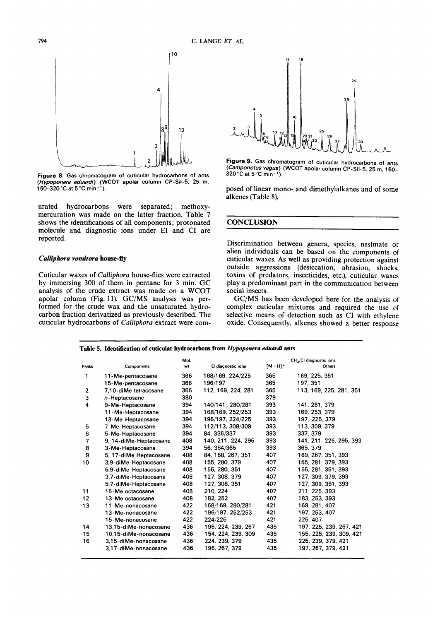

**Figure 8.** Gas chrornatogram of cuticular hydrocarbons **of** ants *(Hypoponera eduard)* (WCOT apolar colurnn CP-Sil-5, 25 rn, 150-320°C at 5°C rnin-').

urated hydrocarbons were separated; methoxymercuration was made on the latter fraction. Table 7 shows the identifications of all components; protonated molecule and diagnostic ions under **E1** and CI are reported.

#### *Calliphora vom'tora* **house-fly**

Cuticular waxes of *Calliphora* house-flies were extracted by immersing **300** of them in pentane for **3** min. GC analysis of the crude extract was made on a WCOT apolar column (Fig. 11). GC/MS analysis was performed for the crude wax and the unsaturated hydrocarbon fraction derivatized as previously described. The cuticular hydrocarbons of *Calliphora* extract were com-



Figure 9. Gas chromatogram of cuticular hydrocarbons of ants *(Camponotus vagus)* (WCOT apolar colurnn CP-Sil-5, 25 rn, 150-  $320\,^{\circ}$ C at 5 $^{\circ}$ C min<sup>-1</sup>).

posed of linear mono- and dimethylalkanes and of some alkenes (Table **8).** 

# **CONCLUSION**

Discrimination between genera, species, nestmate or alien individuals can be based on the components of cuticular waxes. **As** well as providing protection against outside aggressions (desiccation, abrasion, shocks, toxins of predators, insecticides, etc.), cuticular waxes play a predominant part in the communication between social insects.

GC/MS has been developed here for the analysis of complex cuticular mixtures and required the use of selective means of detection such as CI with ethylene oxide. Consequently, alkenes showed a better response

|                |                        | Mol. |                    |                        | CH <sub>4</sub> /CI diagnostic ions |
|----------------|------------------------|------|--------------------|------------------------|-------------------------------------|
| Peaks          | Components             | wt   | El diagnostic ions | $[M - H]$ <sup>+</sup> | Others                              |
| 1              | 11-Me-pentacosane      | 366  | 168/169, 224/225   | 365                    | 169, 225, 351                       |
|                | 15-Me-pentacosane      | 366  | 196/197            | 365                    | 197, 351                            |
| $\overline{2}$ | 7.10-diMe tetracosane  | 366  | 112, 169, 224, 281 | 365                    | 113, 169, 225, 281, 351             |
| 3              | $n$ -Heptacosane       | 380  |                    | 379                    |                                     |
| 4              | 9-Me-Heptacosane       | 394  | 140/141; 280/281   | 393                    | 141, 281, 379                       |
|                | 11-Me-Heptacosane      | 394  | 168/169, 252/253   | 393                    | 169, 253, 379                       |
|                | 13-Me-Heptacosane      | 394  | 196/197, 224/225   | 393                    | 197: 225. 379                       |
| 5              | 7-Me-Heptacosane       | 394  | 112/113, 308/309   | 393                    | 113, 309, 379                       |
| 6              | 5-Me-Heptacosane       | 394  | 84, 336/337        | 393                    | 337, 379                            |
| 7              | 9, 14-diMe-Heptacosane | 408  | 140, 211, 224, 295 | 393                    | 141, 211, 225, 295, 393             |
| 8              | 3-Me-Heptacosane       | 394  | 56, 364/365        | 393                    | 365, 379                            |
| 9              | 5, 17-diMe Heptacosane | 408  | 84, 168, 267, 351  | 407                    | 169, 267, 351, 393                  |
| 10             | 3.9-diMe-Heptacosane   | 408  | 155, 280, 379      | 407                    | 155, 281, 379, 393                  |
|                | 5.9-diMe-Heptacosane   | 408  | 155, 280, 351      | 407                    | 155, 281, 351, 393                  |
|                | 3.7-diMe-Heptacosane   | 408  | 127, 308, 379      | 407                    | 127, 309, 379, 393                  |
|                | 5.7-diMe-Heptacosane   | 408  | 127, 308, 351      | 407                    | 127, 309, 351, 393                  |
| 11             | 15-Me octacosane       | 408  | 210, 224           | 407                    | 211, 225, 393                       |
| 12             | 13-Me octacosane       | 408  | 182, 252           | 407                    | 183, 253, 393                       |
| 13             | 11-Me-nonacosane       | 422  | 168/169, 280/281   | 421                    | 169, 281, 407                       |
|                | 13-Me-nonacosane       | 422  | 196/197, 252/253   | 421                    | 197, 253, 407                       |
|                | 15-Me-nonacosane       | 422  | 224/225            | 421                    | 225, 407                            |
| 14             | 13.15-diMe-nonacosane  | 436  | 196, 224, 239, 267 | 435                    | 197, 225, 239, 267, 421             |
| 15             | 10.15-diMe-nonacosane  | 436  | 154, 224, 239, 309 | 435                    | 155, 225, 239, 309, 421             |
| 16             | 3,15-diMe-nonacosane   | 436  | 224, 239, 379      | 435                    | 225, 239, 379, 421                  |
|                | 3.17-diMe-nonacosane   | 436  | 196, 267, 379      | 435                    | 197, 267, 379, 421                  |

#### **Table 5. Identification of cuticular hydrocarbons from** *Hypoponera eduardi* **ants**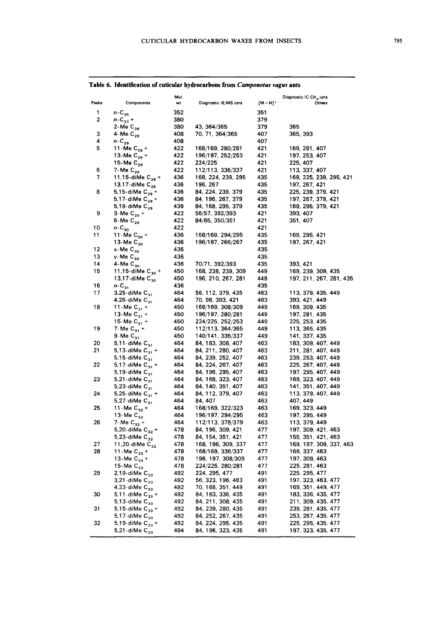| ٠ | ۰. | I |
|---|----|---|

| Peaks<br>[M – H]*<br>Components<br>Diagnostic IE/MS ions<br>wt<br>Others<br>1<br>$n-C_{25}$<br>352<br>351<br>2<br>$n - C_{27} +$<br>380<br>379<br>380<br>379<br>2-Me $C_{26}$<br>43, 364/365<br>365<br>3<br>4-Me $C_{28}$<br>408<br>407<br>70, 71, 364/365<br>365, 393<br>4<br>408<br>407<br>$n - C_{20}$<br>5<br>422<br>421<br>11-Me $C_{29}$ +<br>168/169, 280/281<br>169, 281, 407<br>422<br>196/197, 252/253<br>421<br>13-Me C <sub>29</sub> +<br>197, 253, 407<br>422<br>15-Me $C_{29}$<br>421<br>224/225<br>225, 407<br>422<br>421<br>6<br>7-Me $C_{29}$<br>112/113, 336/337<br>113, 337, 407<br>7<br>436<br>168, 224, 239, 295<br>435<br>11,15-diMe $C_{29}$ +<br>169, 225, 239, 295, 421<br>436<br>435<br>13,17-diMe $C_{29}$<br>196, 267<br>197, 267, 421<br>8<br>436<br>435<br>5,15-diMe $C_{29}$ +<br>84, 224, 239, 379<br>225, 239, 379, 421<br>436<br>84, 196, 267, 379<br>435<br>197, 267, 379, 421<br>5,17-diMe C <sub>29</sub> +<br>435<br>5,19-diMe $C_{29}$<br>436<br>84, 168, 295, 379<br>169, 295, 379, 421<br>9<br>422<br>421<br>3-Me $C_{29}$ +<br>56/57, 392/393<br>393, 407<br>422<br>$6$ -Me $C_{29}$<br>421<br>84/85, 350/351<br>351, 407<br>422<br>10<br>$n-C_{30}$<br>421<br>436<br>11<br>11-Me $C_{30}$ +<br>435<br>168/169, 294/295<br>169, 295, 421<br>436<br>196/197, 266/267<br>435<br>13-Me $C_{30}$<br>197, 267, 421<br>12<br>$x$ -Me $C_{30}$<br>436<br>435<br>13<br>$y$ -Me $C_{30}$<br>435<br>436<br>435<br>14<br>4-Me $C_{30}$<br>436<br>70/71, 392/393<br>393, 421<br>15<br>11,15-diMe $C_{30}$ +<br>450<br>449<br>168, 238, 239, 309<br>169, 239, 309, 435<br>13,17-diMe C <sub>30</sub><br>450<br>196, 210, 267, 281<br>449<br>197, 211, 267, 281, 435<br>436<br>435<br>16<br>$n-C_{31}$<br>17<br>3,25-diMe $C_{31}$<br>464<br>463<br>56, 112, 379, 435<br>113, 379, 435, 449<br>463<br>4,26-diMe $C_{31}$<br>464<br>70, 98, 393, 421<br>393, 421, 449<br>18<br>450<br>449<br>11-Me $C_{31}$ +<br>168/169, 308/309<br>169, 309, 435<br>450<br>196/197, 280/281<br>449<br>13-Me $C_{31}$ +<br>197, 281, 435<br>450<br>224/225, 252/253<br>449<br>15-Me C <sub>31</sub> +<br>225, 253, 435<br>19<br>450<br>449<br>7-Me $C_{31}$ +<br>112/113, 364/365<br>113, 365, 435<br>$9$ -Me $C_3$<br>450<br>140/141, 336/337<br>449<br>141, 337, 435<br>20<br>464<br>84, 183, 308, 407<br>463<br>5,11-diMe $C_{31}$<br>183, 309, 407, 449<br>21<br>463<br>464<br>84, 211, 280, 407<br>5,13-diMe $C_{31}$ +<br>211, 281, 407, 449<br>463<br>464<br>84, 239, 252, 407<br>239, 253, 407, 449<br>5,15-diMe $C_{31}$<br>22<br>84, 224, 267, 407<br>463<br>5,17-diMe $C_{31}$ +<br>464<br>225, 267, 407, 449<br>463<br>464<br>5,19-diMe $C_3$ ,<br>84, 196, 295, 407<br>197, 295, 407, 449<br>23<br>463<br>464<br>84, 168, 323, 407<br>169, 323, 407, 449<br>5,21-diMe $C_3$ ,<br>84, 140, 351, 407<br>463<br>5,23-diMe $C_{31}$<br>464<br>141, 351, 407, 449<br>463<br>24<br>464<br>84, 112, 379, 407<br>113, 379, 407, 449<br>5,25-diMe $C_{31}$ +<br>464<br>463<br>84, 407<br>5,27-diMe $C_{31}$<br>407, 449<br>25<br>168/169, 322/323<br>463<br>11 - Me $C_{32}$ +<br>464<br>169, 323, 449<br>13-Me $C_{32}$<br>464<br>196/197, 294/295<br>463<br>197, 295, 449<br>26<br>7-Me $C_{32}$ +<br>464<br>112/113, 378/379<br>463<br>113, 379, 449<br>478<br>477<br>5,20-diMe $C_{32}$ +<br>84, 196, 309, 421<br>197, 309, 421, 463<br>478<br>477<br>5,23-diMe $C_{32}$<br>84, 154, 351, 421<br>155, 351, 421, 463<br>478<br>27<br>11,20-diMe $C_{32}$<br>168, 196, 309, 337<br>477<br>169, 197, 309, 337, 463<br>28<br>168/169, 336/337<br>11-Me $C_{33}$ +<br>478<br>477<br>169, 337, 463<br>13-Me $C_{33}$ +<br>478<br>196, 197, 308/309<br>477<br>197, 309, 463<br>15-Me $C_{33}$<br>478<br>224/225, 280/281<br>477<br>225, 281, 463<br>29<br>492<br>491<br>2,19-diMe $C_{33}$<br>224, 295, 477<br>225, 295, 477<br>491<br>3,21-diMe $C_{33}$<br>492<br>56, 323, 196, 463<br>197, 323, 463, 477<br>491<br>492<br>70, 168, 351, 449<br>4,23-diMe $C_{33}$<br>169, 351, 449, 477<br>491<br>30<br>5,11-diMe $C_{33}$ +<br>492<br>84, 183, 336, 435<br>183, 336, 435, 477<br>492<br>84, 211, 308, 435<br>491<br>5,13-diMe $C_{33}$<br>211, 309, 435, 477<br>31<br>492<br>491<br>84, 239, 280, 435<br>239, 281, 435, 477<br>5,15-diMe $C_{33}$ +<br>492<br>84, 252, 267, 435<br>491<br>253, 267, 435, 477<br>5,17-diMe $C_{33}$<br>32<br>5,19-diMe $C_{33}$ +<br>492<br>84, 224, 295, 435<br>491<br>225, 295, 435, 477<br>494<br>491<br>5,21-diMe $C_{33}$<br>84, 196, 323, 435<br>197, 323, 435, 477 |  | Mol. |  | Diagnostic IC CH4 ions |
|---------------------------------------------------------------------------------------------------------------------------------------------------------------------------------------------------------------------------------------------------------------------------------------------------------------------------------------------------------------------------------------------------------------------------------------------------------------------------------------------------------------------------------------------------------------------------------------------------------------------------------------------------------------------------------------------------------------------------------------------------------------------------------------------------------------------------------------------------------------------------------------------------------------------------------------------------------------------------------------------------------------------------------------------------------------------------------------------------------------------------------------------------------------------------------------------------------------------------------------------------------------------------------------------------------------------------------------------------------------------------------------------------------------------------------------------------------------------------------------------------------------------------------------------------------------------------------------------------------------------------------------------------------------------------------------------------------------------------------------------------------------------------------------------------------------------------------------------------------------------------------------------------------------------------------------------------------------------------------------------------------------------------------------------------------------------------------------------------------------------------------------------------------------------------------------------------------------------------------------------------------------------------------------------------------------------------------------------------------------------------------------------------------------------------------------------------------------------------------------------------------------------------------------------------------------------------------------------------------------------------------------------------------------------------------------------------------------------------------------------------------------------------------------------------------------------------------------------------------------------------------------------------------------------------------------------------------------------------------------------------------------------------------------------------------------------------------------------------------------------------------------------------------------------------------------------------------------------------------------------------------------------------------------------------------------------------------------------------------------------------------------------------------------------------------------------------------------------------------------------------------------------------------------------------------------------------------------------------------------------------------------------------------------------------------------------------------------------------------------------------------------------------------------------------------------------------------------------------------------------------------------------------------------------------------------------------------------------------------------------------------------------------------------------------------------------------------------------------------------------------------------------------------------------------------------------------------------------------------------------------------------------------------------------------------------------------------------------------------------------------------------------------------------------------------------------------------------------------------------------------------------------------|--|------|--|------------------------|
|                                                                                                                                                                                                                                                                                                                                                                                                                                                                                                                                                                                                                                                                                                                                                                                                                                                                                                                                                                                                                                                                                                                                                                                                                                                                                                                                                                                                                                                                                                                                                                                                                                                                                                                                                                                                                                                                                                                                                                                                                                                                                                                                                                                                                                                                                                                                                                                                                                                                                                                                                                                                                                                                                                                                                                                                                                                                                                                                                                                                                                                                                                                                                                                                                                                                                                                                                                                                                                                                                                                                                                                                                                                                                                                                                                                                                                                                                                                                                                                                                                                                                                                                                                                                                                                                                                                                                                                                                                                                                                                           |  |      |  |                        |
|                                                                                                                                                                                                                                                                                                                                                                                                                                                                                                                                                                                                                                                                                                                                                                                                                                                                                                                                                                                                                                                                                                                                                                                                                                                                                                                                                                                                                                                                                                                                                                                                                                                                                                                                                                                                                                                                                                                                                                                                                                                                                                                                                                                                                                                                                                                                                                                                                                                                                                                                                                                                                                                                                                                                                                                                                                                                                                                                                                                                                                                                                                                                                                                                                                                                                                                                                                                                                                                                                                                                                                                                                                                                                                                                                                                                                                                                                                                                                                                                                                                                                                                                                                                                                                                                                                                                                                                                                                                                                                                           |  |      |  |                        |
|                                                                                                                                                                                                                                                                                                                                                                                                                                                                                                                                                                                                                                                                                                                                                                                                                                                                                                                                                                                                                                                                                                                                                                                                                                                                                                                                                                                                                                                                                                                                                                                                                                                                                                                                                                                                                                                                                                                                                                                                                                                                                                                                                                                                                                                                                                                                                                                                                                                                                                                                                                                                                                                                                                                                                                                                                                                                                                                                                                                                                                                                                                                                                                                                                                                                                                                                                                                                                                                                                                                                                                                                                                                                                                                                                                                                                                                                                                                                                                                                                                                                                                                                                                                                                                                                                                                                                                                                                                                                                                                           |  |      |  |                        |
|                                                                                                                                                                                                                                                                                                                                                                                                                                                                                                                                                                                                                                                                                                                                                                                                                                                                                                                                                                                                                                                                                                                                                                                                                                                                                                                                                                                                                                                                                                                                                                                                                                                                                                                                                                                                                                                                                                                                                                                                                                                                                                                                                                                                                                                                                                                                                                                                                                                                                                                                                                                                                                                                                                                                                                                                                                                                                                                                                                                                                                                                                                                                                                                                                                                                                                                                                                                                                                                                                                                                                                                                                                                                                                                                                                                                                                                                                                                                                                                                                                                                                                                                                                                                                                                                                                                                                                                                                                                                                                                           |  |      |  |                        |
|                                                                                                                                                                                                                                                                                                                                                                                                                                                                                                                                                                                                                                                                                                                                                                                                                                                                                                                                                                                                                                                                                                                                                                                                                                                                                                                                                                                                                                                                                                                                                                                                                                                                                                                                                                                                                                                                                                                                                                                                                                                                                                                                                                                                                                                                                                                                                                                                                                                                                                                                                                                                                                                                                                                                                                                                                                                                                                                                                                                                                                                                                                                                                                                                                                                                                                                                                                                                                                                                                                                                                                                                                                                                                                                                                                                                                                                                                                                                                                                                                                                                                                                                                                                                                                                                                                                                                                                                                                                                                                                           |  |      |  |                        |
|                                                                                                                                                                                                                                                                                                                                                                                                                                                                                                                                                                                                                                                                                                                                                                                                                                                                                                                                                                                                                                                                                                                                                                                                                                                                                                                                                                                                                                                                                                                                                                                                                                                                                                                                                                                                                                                                                                                                                                                                                                                                                                                                                                                                                                                                                                                                                                                                                                                                                                                                                                                                                                                                                                                                                                                                                                                                                                                                                                                                                                                                                                                                                                                                                                                                                                                                                                                                                                                                                                                                                                                                                                                                                                                                                                                                                                                                                                                                                                                                                                                                                                                                                                                                                                                                                                                                                                                                                                                                                                                           |  |      |  |                        |
|                                                                                                                                                                                                                                                                                                                                                                                                                                                                                                                                                                                                                                                                                                                                                                                                                                                                                                                                                                                                                                                                                                                                                                                                                                                                                                                                                                                                                                                                                                                                                                                                                                                                                                                                                                                                                                                                                                                                                                                                                                                                                                                                                                                                                                                                                                                                                                                                                                                                                                                                                                                                                                                                                                                                                                                                                                                                                                                                                                                                                                                                                                                                                                                                                                                                                                                                                                                                                                                                                                                                                                                                                                                                                                                                                                                                                                                                                                                                                                                                                                                                                                                                                                                                                                                                                                                                                                                                                                                                                                                           |  |      |  |                        |
|                                                                                                                                                                                                                                                                                                                                                                                                                                                                                                                                                                                                                                                                                                                                                                                                                                                                                                                                                                                                                                                                                                                                                                                                                                                                                                                                                                                                                                                                                                                                                                                                                                                                                                                                                                                                                                                                                                                                                                                                                                                                                                                                                                                                                                                                                                                                                                                                                                                                                                                                                                                                                                                                                                                                                                                                                                                                                                                                                                                                                                                                                                                                                                                                                                                                                                                                                                                                                                                                                                                                                                                                                                                                                                                                                                                                                                                                                                                                                                                                                                                                                                                                                                                                                                                                                                                                                                                                                                                                                                                           |  |      |  |                        |
|                                                                                                                                                                                                                                                                                                                                                                                                                                                                                                                                                                                                                                                                                                                                                                                                                                                                                                                                                                                                                                                                                                                                                                                                                                                                                                                                                                                                                                                                                                                                                                                                                                                                                                                                                                                                                                                                                                                                                                                                                                                                                                                                                                                                                                                                                                                                                                                                                                                                                                                                                                                                                                                                                                                                                                                                                                                                                                                                                                                                                                                                                                                                                                                                                                                                                                                                                                                                                                                                                                                                                                                                                                                                                                                                                                                                                                                                                                                                                                                                                                                                                                                                                                                                                                                                                                                                                                                                                                                                                                                           |  |      |  |                        |
|                                                                                                                                                                                                                                                                                                                                                                                                                                                                                                                                                                                                                                                                                                                                                                                                                                                                                                                                                                                                                                                                                                                                                                                                                                                                                                                                                                                                                                                                                                                                                                                                                                                                                                                                                                                                                                                                                                                                                                                                                                                                                                                                                                                                                                                                                                                                                                                                                                                                                                                                                                                                                                                                                                                                                                                                                                                                                                                                                                                                                                                                                                                                                                                                                                                                                                                                                                                                                                                                                                                                                                                                                                                                                                                                                                                                                                                                                                                                                                                                                                                                                                                                                                                                                                                                                                                                                                                                                                                                                                                           |  |      |  |                        |
|                                                                                                                                                                                                                                                                                                                                                                                                                                                                                                                                                                                                                                                                                                                                                                                                                                                                                                                                                                                                                                                                                                                                                                                                                                                                                                                                                                                                                                                                                                                                                                                                                                                                                                                                                                                                                                                                                                                                                                                                                                                                                                                                                                                                                                                                                                                                                                                                                                                                                                                                                                                                                                                                                                                                                                                                                                                                                                                                                                                                                                                                                                                                                                                                                                                                                                                                                                                                                                                                                                                                                                                                                                                                                                                                                                                                                                                                                                                                                                                                                                                                                                                                                                                                                                                                                                                                                                                                                                                                                                                           |  |      |  |                        |
|                                                                                                                                                                                                                                                                                                                                                                                                                                                                                                                                                                                                                                                                                                                                                                                                                                                                                                                                                                                                                                                                                                                                                                                                                                                                                                                                                                                                                                                                                                                                                                                                                                                                                                                                                                                                                                                                                                                                                                                                                                                                                                                                                                                                                                                                                                                                                                                                                                                                                                                                                                                                                                                                                                                                                                                                                                                                                                                                                                                                                                                                                                                                                                                                                                                                                                                                                                                                                                                                                                                                                                                                                                                                                                                                                                                                                                                                                                                                                                                                                                                                                                                                                                                                                                                                                                                                                                                                                                                                                                                           |  |      |  |                        |
|                                                                                                                                                                                                                                                                                                                                                                                                                                                                                                                                                                                                                                                                                                                                                                                                                                                                                                                                                                                                                                                                                                                                                                                                                                                                                                                                                                                                                                                                                                                                                                                                                                                                                                                                                                                                                                                                                                                                                                                                                                                                                                                                                                                                                                                                                                                                                                                                                                                                                                                                                                                                                                                                                                                                                                                                                                                                                                                                                                                                                                                                                                                                                                                                                                                                                                                                                                                                                                                                                                                                                                                                                                                                                                                                                                                                                                                                                                                                                                                                                                                                                                                                                                                                                                                                                                                                                                                                                                                                                                                           |  |      |  |                        |
|                                                                                                                                                                                                                                                                                                                                                                                                                                                                                                                                                                                                                                                                                                                                                                                                                                                                                                                                                                                                                                                                                                                                                                                                                                                                                                                                                                                                                                                                                                                                                                                                                                                                                                                                                                                                                                                                                                                                                                                                                                                                                                                                                                                                                                                                                                                                                                                                                                                                                                                                                                                                                                                                                                                                                                                                                                                                                                                                                                                                                                                                                                                                                                                                                                                                                                                                                                                                                                                                                                                                                                                                                                                                                                                                                                                                                                                                                                                                                                                                                                                                                                                                                                                                                                                                                                                                                                                                                                                                                                                           |  |      |  |                        |
|                                                                                                                                                                                                                                                                                                                                                                                                                                                                                                                                                                                                                                                                                                                                                                                                                                                                                                                                                                                                                                                                                                                                                                                                                                                                                                                                                                                                                                                                                                                                                                                                                                                                                                                                                                                                                                                                                                                                                                                                                                                                                                                                                                                                                                                                                                                                                                                                                                                                                                                                                                                                                                                                                                                                                                                                                                                                                                                                                                                                                                                                                                                                                                                                                                                                                                                                                                                                                                                                                                                                                                                                                                                                                                                                                                                                                                                                                                                                                                                                                                                                                                                                                                                                                                                                                                                                                                                                                                                                                                                           |  |      |  |                        |
|                                                                                                                                                                                                                                                                                                                                                                                                                                                                                                                                                                                                                                                                                                                                                                                                                                                                                                                                                                                                                                                                                                                                                                                                                                                                                                                                                                                                                                                                                                                                                                                                                                                                                                                                                                                                                                                                                                                                                                                                                                                                                                                                                                                                                                                                                                                                                                                                                                                                                                                                                                                                                                                                                                                                                                                                                                                                                                                                                                                                                                                                                                                                                                                                                                                                                                                                                                                                                                                                                                                                                                                                                                                                                                                                                                                                                                                                                                                                                                                                                                                                                                                                                                                                                                                                                                                                                                                                                                                                                                                           |  |      |  |                        |
|                                                                                                                                                                                                                                                                                                                                                                                                                                                                                                                                                                                                                                                                                                                                                                                                                                                                                                                                                                                                                                                                                                                                                                                                                                                                                                                                                                                                                                                                                                                                                                                                                                                                                                                                                                                                                                                                                                                                                                                                                                                                                                                                                                                                                                                                                                                                                                                                                                                                                                                                                                                                                                                                                                                                                                                                                                                                                                                                                                                                                                                                                                                                                                                                                                                                                                                                                                                                                                                                                                                                                                                                                                                                                                                                                                                                                                                                                                                                                                                                                                                                                                                                                                                                                                                                                                                                                                                                                                                                                                                           |  |      |  |                        |
|                                                                                                                                                                                                                                                                                                                                                                                                                                                                                                                                                                                                                                                                                                                                                                                                                                                                                                                                                                                                                                                                                                                                                                                                                                                                                                                                                                                                                                                                                                                                                                                                                                                                                                                                                                                                                                                                                                                                                                                                                                                                                                                                                                                                                                                                                                                                                                                                                                                                                                                                                                                                                                                                                                                                                                                                                                                                                                                                                                                                                                                                                                                                                                                                                                                                                                                                                                                                                                                                                                                                                                                                                                                                                                                                                                                                                                                                                                                                                                                                                                                                                                                                                                                                                                                                                                                                                                                                                                                                                                                           |  |      |  |                        |
|                                                                                                                                                                                                                                                                                                                                                                                                                                                                                                                                                                                                                                                                                                                                                                                                                                                                                                                                                                                                                                                                                                                                                                                                                                                                                                                                                                                                                                                                                                                                                                                                                                                                                                                                                                                                                                                                                                                                                                                                                                                                                                                                                                                                                                                                                                                                                                                                                                                                                                                                                                                                                                                                                                                                                                                                                                                                                                                                                                                                                                                                                                                                                                                                                                                                                                                                                                                                                                                                                                                                                                                                                                                                                                                                                                                                                                                                                                                                                                                                                                                                                                                                                                                                                                                                                                                                                                                                                                                                                                                           |  |      |  |                        |
|                                                                                                                                                                                                                                                                                                                                                                                                                                                                                                                                                                                                                                                                                                                                                                                                                                                                                                                                                                                                                                                                                                                                                                                                                                                                                                                                                                                                                                                                                                                                                                                                                                                                                                                                                                                                                                                                                                                                                                                                                                                                                                                                                                                                                                                                                                                                                                                                                                                                                                                                                                                                                                                                                                                                                                                                                                                                                                                                                                                                                                                                                                                                                                                                                                                                                                                                                                                                                                                                                                                                                                                                                                                                                                                                                                                                                                                                                                                                                                                                                                                                                                                                                                                                                                                                                                                                                                                                                                                                                                                           |  |      |  |                        |
|                                                                                                                                                                                                                                                                                                                                                                                                                                                                                                                                                                                                                                                                                                                                                                                                                                                                                                                                                                                                                                                                                                                                                                                                                                                                                                                                                                                                                                                                                                                                                                                                                                                                                                                                                                                                                                                                                                                                                                                                                                                                                                                                                                                                                                                                                                                                                                                                                                                                                                                                                                                                                                                                                                                                                                                                                                                                                                                                                                                                                                                                                                                                                                                                                                                                                                                                                                                                                                                                                                                                                                                                                                                                                                                                                                                                                                                                                                                                                                                                                                                                                                                                                                                                                                                                                                                                                                                                                                                                                                                           |  |      |  |                        |
|                                                                                                                                                                                                                                                                                                                                                                                                                                                                                                                                                                                                                                                                                                                                                                                                                                                                                                                                                                                                                                                                                                                                                                                                                                                                                                                                                                                                                                                                                                                                                                                                                                                                                                                                                                                                                                                                                                                                                                                                                                                                                                                                                                                                                                                                                                                                                                                                                                                                                                                                                                                                                                                                                                                                                                                                                                                                                                                                                                                                                                                                                                                                                                                                                                                                                                                                                                                                                                                                                                                                                                                                                                                                                                                                                                                                                                                                                                                                                                                                                                                                                                                                                                                                                                                                                                                                                                                                                                                                                                                           |  |      |  |                        |
|                                                                                                                                                                                                                                                                                                                                                                                                                                                                                                                                                                                                                                                                                                                                                                                                                                                                                                                                                                                                                                                                                                                                                                                                                                                                                                                                                                                                                                                                                                                                                                                                                                                                                                                                                                                                                                                                                                                                                                                                                                                                                                                                                                                                                                                                                                                                                                                                                                                                                                                                                                                                                                                                                                                                                                                                                                                                                                                                                                                                                                                                                                                                                                                                                                                                                                                                                                                                                                                                                                                                                                                                                                                                                                                                                                                                                                                                                                                                                                                                                                                                                                                                                                                                                                                                                                                                                                                                                                                                                                                           |  |      |  |                        |
|                                                                                                                                                                                                                                                                                                                                                                                                                                                                                                                                                                                                                                                                                                                                                                                                                                                                                                                                                                                                                                                                                                                                                                                                                                                                                                                                                                                                                                                                                                                                                                                                                                                                                                                                                                                                                                                                                                                                                                                                                                                                                                                                                                                                                                                                                                                                                                                                                                                                                                                                                                                                                                                                                                                                                                                                                                                                                                                                                                                                                                                                                                                                                                                                                                                                                                                                                                                                                                                                                                                                                                                                                                                                                                                                                                                                                                                                                                                                                                                                                                                                                                                                                                                                                                                                                                                                                                                                                                                                                                                           |  |      |  |                        |
|                                                                                                                                                                                                                                                                                                                                                                                                                                                                                                                                                                                                                                                                                                                                                                                                                                                                                                                                                                                                                                                                                                                                                                                                                                                                                                                                                                                                                                                                                                                                                                                                                                                                                                                                                                                                                                                                                                                                                                                                                                                                                                                                                                                                                                                                                                                                                                                                                                                                                                                                                                                                                                                                                                                                                                                                                                                                                                                                                                                                                                                                                                                                                                                                                                                                                                                                                                                                                                                                                                                                                                                                                                                                                                                                                                                                                                                                                                                                                                                                                                                                                                                                                                                                                                                                                                                                                                                                                                                                                                                           |  |      |  |                        |
|                                                                                                                                                                                                                                                                                                                                                                                                                                                                                                                                                                                                                                                                                                                                                                                                                                                                                                                                                                                                                                                                                                                                                                                                                                                                                                                                                                                                                                                                                                                                                                                                                                                                                                                                                                                                                                                                                                                                                                                                                                                                                                                                                                                                                                                                                                                                                                                                                                                                                                                                                                                                                                                                                                                                                                                                                                                                                                                                                                                                                                                                                                                                                                                                                                                                                                                                                                                                                                                                                                                                                                                                                                                                                                                                                                                                                                                                                                                                                                                                                                                                                                                                                                                                                                                                                                                                                                                                                                                                                                                           |  |      |  |                        |
|                                                                                                                                                                                                                                                                                                                                                                                                                                                                                                                                                                                                                                                                                                                                                                                                                                                                                                                                                                                                                                                                                                                                                                                                                                                                                                                                                                                                                                                                                                                                                                                                                                                                                                                                                                                                                                                                                                                                                                                                                                                                                                                                                                                                                                                                                                                                                                                                                                                                                                                                                                                                                                                                                                                                                                                                                                                                                                                                                                                                                                                                                                                                                                                                                                                                                                                                                                                                                                                                                                                                                                                                                                                                                                                                                                                                                                                                                                                                                                                                                                                                                                                                                                                                                                                                                                                                                                                                                                                                                                                           |  |      |  |                        |
|                                                                                                                                                                                                                                                                                                                                                                                                                                                                                                                                                                                                                                                                                                                                                                                                                                                                                                                                                                                                                                                                                                                                                                                                                                                                                                                                                                                                                                                                                                                                                                                                                                                                                                                                                                                                                                                                                                                                                                                                                                                                                                                                                                                                                                                                                                                                                                                                                                                                                                                                                                                                                                                                                                                                                                                                                                                                                                                                                                                                                                                                                                                                                                                                                                                                                                                                                                                                                                                                                                                                                                                                                                                                                                                                                                                                                                                                                                                                                                                                                                                                                                                                                                                                                                                                                                                                                                                                                                                                                                                           |  |      |  |                        |
|                                                                                                                                                                                                                                                                                                                                                                                                                                                                                                                                                                                                                                                                                                                                                                                                                                                                                                                                                                                                                                                                                                                                                                                                                                                                                                                                                                                                                                                                                                                                                                                                                                                                                                                                                                                                                                                                                                                                                                                                                                                                                                                                                                                                                                                                                                                                                                                                                                                                                                                                                                                                                                                                                                                                                                                                                                                                                                                                                                                                                                                                                                                                                                                                                                                                                                                                                                                                                                                                                                                                                                                                                                                                                                                                                                                                                                                                                                                                                                                                                                                                                                                                                                                                                                                                                                                                                                                                                                                                                                                           |  |      |  |                        |
|                                                                                                                                                                                                                                                                                                                                                                                                                                                                                                                                                                                                                                                                                                                                                                                                                                                                                                                                                                                                                                                                                                                                                                                                                                                                                                                                                                                                                                                                                                                                                                                                                                                                                                                                                                                                                                                                                                                                                                                                                                                                                                                                                                                                                                                                                                                                                                                                                                                                                                                                                                                                                                                                                                                                                                                                                                                                                                                                                                                                                                                                                                                                                                                                                                                                                                                                                                                                                                                                                                                                                                                                                                                                                                                                                                                                                                                                                                                                                                                                                                                                                                                                                                                                                                                                                                                                                                                                                                                                                                                           |  |      |  |                        |
|                                                                                                                                                                                                                                                                                                                                                                                                                                                                                                                                                                                                                                                                                                                                                                                                                                                                                                                                                                                                                                                                                                                                                                                                                                                                                                                                                                                                                                                                                                                                                                                                                                                                                                                                                                                                                                                                                                                                                                                                                                                                                                                                                                                                                                                                                                                                                                                                                                                                                                                                                                                                                                                                                                                                                                                                                                                                                                                                                                                                                                                                                                                                                                                                                                                                                                                                                                                                                                                                                                                                                                                                                                                                                                                                                                                                                                                                                                                                                                                                                                                                                                                                                                                                                                                                                                                                                                                                                                                                                                                           |  |      |  |                        |
|                                                                                                                                                                                                                                                                                                                                                                                                                                                                                                                                                                                                                                                                                                                                                                                                                                                                                                                                                                                                                                                                                                                                                                                                                                                                                                                                                                                                                                                                                                                                                                                                                                                                                                                                                                                                                                                                                                                                                                                                                                                                                                                                                                                                                                                                                                                                                                                                                                                                                                                                                                                                                                                                                                                                                                                                                                                                                                                                                                                                                                                                                                                                                                                                                                                                                                                                                                                                                                                                                                                                                                                                                                                                                                                                                                                                                                                                                                                                                                                                                                                                                                                                                                                                                                                                                                                                                                                                                                                                                                                           |  |      |  |                        |
|                                                                                                                                                                                                                                                                                                                                                                                                                                                                                                                                                                                                                                                                                                                                                                                                                                                                                                                                                                                                                                                                                                                                                                                                                                                                                                                                                                                                                                                                                                                                                                                                                                                                                                                                                                                                                                                                                                                                                                                                                                                                                                                                                                                                                                                                                                                                                                                                                                                                                                                                                                                                                                                                                                                                                                                                                                                                                                                                                                                                                                                                                                                                                                                                                                                                                                                                                                                                                                                                                                                                                                                                                                                                                                                                                                                                                                                                                                                                                                                                                                                                                                                                                                                                                                                                                                                                                                                                                                                                                                                           |  |      |  |                        |
|                                                                                                                                                                                                                                                                                                                                                                                                                                                                                                                                                                                                                                                                                                                                                                                                                                                                                                                                                                                                                                                                                                                                                                                                                                                                                                                                                                                                                                                                                                                                                                                                                                                                                                                                                                                                                                                                                                                                                                                                                                                                                                                                                                                                                                                                                                                                                                                                                                                                                                                                                                                                                                                                                                                                                                                                                                                                                                                                                                                                                                                                                                                                                                                                                                                                                                                                                                                                                                                                                                                                                                                                                                                                                                                                                                                                                                                                                                                                                                                                                                                                                                                                                                                                                                                                                                                                                                                                                                                                                                                           |  |      |  |                        |
|                                                                                                                                                                                                                                                                                                                                                                                                                                                                                                                                                                                                                                                                                                                                                                                                                                                                                                                                                                                                                                                                                                                                                                                                                                                                                                                                                                                                                                                                                                                                                                                                                                                                                                                                                                                                                                                                                                                                                                                                                                                                                                                                                                                                                                                                                                                                                                                                                                                                                                                                                                                                                                                                                                                                                                                                                                                                                                                                                                                                                                                                                                                                                                                                                                                                                                                                                                                                                                                                                                                                                                                                                                                                                                                                                                                                                                                                                                                                                                                                                                                                                                                                                                                                                                                                                                                                                                                                                                                                                                                           |  |      |  |                        |
|                                                                                                                                                                                                                                                                                                                                                                                                                                                                                                                                                                                                                                                                                                                                                                                                                                                                                                                                                                                                                                                                                                                                                                                                                                                                                                                                                                                                                                                                                                                                                                                                                                                                                                                                                                                                                                                                                                                                                                                                                                                                                                                                                                                                                                                                                                                                                                                                                                                                                                                                                                                                                                                                                                                                                                                                                                                                                                                                                                                                                                                                                                                                                                                                                                                                                                                                                                                                                                                                                                                                                                                                                                                                                                                                                                                                                                                                                                                                                                                                                                                                                                                                                                                                                                                                                                                                                                                                                                                                                                                           |  |      |  |                        |
|                                                                                                                                                                                                                                                                                                                                                                                                                                                                                                                                                                                                                                                                                                                                                                                                                                                                                                                                                                                                                                                                                                                                                                                                                                                                                                                                                                                                                                                                                                                                                                                                                                                                                                                                                                                                                                                                                                                                                                                                                                                                                                                                                                                                                                                                                                                                                                                                                                                                                                                                                                                                                                                                                                                                                                                                                                                                                                                                                                                                                                                                                                                                                                                                                                                                                                                                                                                                                                                                                                                                                                                                                                                                                                                                                                                                                                                                                                                                                                                                                                                                                                                                                                                                                                                                                                                                                                                                                                                                                                                           |  |      |  |                        |
|                                                                                                                                                                                                                                                                                                                                                                                                                                                                                                                                                                                                                                                                                                                                                                                                                                                                                                                                                                                                                                                                                                                                                                                                                                                                                                                                                                                                                                                                                                                                                                                                                                                                                                                                                                                                                                                                                                                                                                                                                                                                                                                                                                                                                                                                                                                                                                                                                                                                                                                                                                                                                                                                                                                                                                                                                                                                                                                                                                                                                                                                                                                                                                                                                                                                                                                                                                                                                                                                                                                                                                                                                                                                                                                                                                                                                                                                                                                                                                                                                                                                                                                                                                                                                                                                                                                                                                                                                                                                                                                           |  |      |  |                        |
|                                                                                                                                                                                                                                                                                                                                                                                                                                                                                                                                                                                                                                                                                                                                                                                                                                                                                                                                                                                                                                                                                                                                                                                                                                                                                                                                                                                                                                                                                                                                                                                                                                                                                                                                                                                                                                                                                                                                                                                                                                                                                                                                                                                                                                                                                                                                                                                                                                                                                                                                                                                                                                                                                                                                                                                                                                                                                                                                                                                                                                                                                                                                                                                                                                                                                                                                                                                                                                                                                                                                                                                                                                                                                                                                                                                                                                                                                                                                                                                                                                                                                                                                                                                                                                                                                                                                                                                                                                                                                                                           |  |      |  |                        |
|                                                                                                                                                                                                                                                                                                                                                                                                                                                                                                                                                                                                                                                                                                                                                                                                                                                                                                                                                                                                                                                                                                                                                                                                                                                                                                                                                                                                                                                                                                                                                                                                                                                                                                                                                                                                                                                                                                                                                                                                                                                                                                                                                                                                                                                                                                                                                                                                                                                                                                                                                                                                                                                                                                                                                                                                                                                                                                                                                                                                                                                                                                                                                                                                                                                                                                                                                                                                                                                                                                                                                                                                                                                                                                                                                                                                                                                                                                                                                                                                                                                                                                                                                                                                                                                                                                                                                                                                                                                                                                                           |  |      |  |                        |
|                                                                                                                                                                                                                                                                                                                                                                                                                                                                                                                                                                                                                                                                                                                                                                                                                                                                                                                                                                                                                                                                                                                                                                                                                                                                                                                                                                                                                                                                                                                                                                                                                                                                                                                                                                                                                                                                                                                                                                                                                                                                                                                                                                                                                                                                                                                                                                                                                                                                                                                                                                                                                                                                                                                                                                                                                                                                                                                                                                                                                                                                                                                                                                                                                                                                                                                                                                                                                                                                                                                                                                                                                                                                                                                                                                                                                                                                                                                                                                                                                                                                                                                                                                                                                                                                                                                                                                                                                                                                                                                           |  |      |  |                        |
|                                                                                                                                                                                                                                                                                                                                                                                                                                                                                                                                                                                                                                                                                                                                                                                                                                                                                                                                                                                                                                                                                                                                                                                                                                                                                                                                                                                                                                                                                                                                                                                                                                                                                                                                                                                                                                                                                                                                                                                                                                                                                                                                                                                                                                                                                                                                                                                                                                                                                                                                                                                                                                                                                                                                                                                                                                                                                                                                                                                                                                                                                                                                                                                                                                                                                                                                                                                                                                                                                                                                                                                                                                                                                                                                                                                                                                                                                                                                                                                                                                                                                                                                                                                                                                                                                                                                                                                                                                                                                                                           |  |      |  |                        |
|                                                                                                                                                                                                                                                                                                                                                                                                                                                                                                                                                                                                                                                                                                                                                                                                                                                                                                                                                                                                                                                                                                                                                                                                                                                                                                                                                                                                                                                                                                                                                                                                                                                                                                                                                                                                                                                                                                                                                                                                                                                                                                                                                                                                                                                                                                                                                                                                                                                                                                                                                                                                                                                                                                                                                                                                                                                                                                                                                                                                                                                                                                                                                                                                                                                                                                                                                                                                                                                                                                                                                                                                                                                                                                                                                                                                                                                                                                                                                                                                                                                                                                                                                                                                                                                                                                                                                                                                                                                                                                                           |  |      |  |                        |
|                                                                                                                                                                                                                                                                                                                                                                                                                                                                                                                                                                                                                                                                                                                                                                                                                                                                                                                                                                                                                                                                                                                                                                                                                                                                                                                                                                                                                                                                                                                                                                                                                                                                                                                                                                                                                                                                                                                                                                                                                                                                                                                                                                                                                                                                                                                                                                                                                                                                                                                                                                                                                                                                                                                                                                                                                                                                                                                                                                                                                                                                                                                                                                                                                                                                                                                                                                                                                                                                                                                                                                                                                                                                                                                                                                                                                                                                                                                                                                                                                                                                                                                                                                                                                                                                                                                                                                                                                                                                                                                           |  |      |  |                        |
|                                                                                                                                                                                                                                                                                                                                                                                                                                                                                                                                                                                                                                                                                                                                                                                                                                                                                                                                                                                                                                                                                                                                                                                                                                                                                                                                                                                                                                                                                                                                                                                                                                                                                                                                                                                                                                                                                                                                                                                                                                                                                                                                                                                                                                                                                                                                                                                                                                                                                                                                                                                                                                                                                                                                                                                                                                                                                                                                                                                                                                                                                                                                                                                                                                                                                                                                                                                                                                                                                                                                                                                                                                                                                                                                                                                                                                                                                                                                                                                                                                                                                                                                                                                                                                                                                                                                                                                                                                                                                                                           |  |      |  |                        |
|                                                                                                                                                                                                                                                                                                                                                                                                                                                                                                                                                                                                                                                                                                                                                                                                                                                                                                                                                                                                                                                                                                                                                                                                                                                                                                                                                                                                                                                                                                                                                                                                                                                                                                                                                                                                                                                                                                                                                                                                                                                                                                                                                                                                                                                                                                                                                                                                                                                                                                                                                                                                                                                                                                                                                                                                                                                                                                                                                                                                                                                                                                                                                                                                                                                                                                                                                                                                                                                                                                                                                                                                                                                                                                                                                                                                                                                                                                                                                                                                                                                                                                                                                                                                                                                                                                                                                                                                                                                                                                                           |  |      |  |                        |
|                                                                                                                                                                                                                                                                                                                                                                                                                                                                                                                                                                                                                                                                                                                                                                                                                                                                                                                                                                                                                                                                                                                                                                                                                                                                                                                                                                                                                                                                                                                                                                                                                                                                                                                                                                                                                                                                                                                                                                                                                                                                                                                                                                                                                                                                                                                                                                                                                                                                                                                                                                                                                                                                                                                                                                                                                                                                                                                                                                                                                                                                                                                                                                                                                                                                                                                                                                                                                                                                                                                                                                                                                                                                                                                                                                                                                                                                                                                                                                                                                                                                                                                                                                                                                                                                                                                                                                                                                                                                                                                           |  |      |  |                        |
|                                                                                                                                                                                                                                                                                                                                                                                                                                                                                                                                                                                                                                                                                                                                                                                                                                                                                                                                                                                                                                                                                                                                                                                                                                                                                                                                                                                                                                                                                                                                                                                                                                                                                                                                                                                                                                                                                                                                                                                                                                                                                                                                                                                                                                                                                                                                                                                                                                                                                                                                                                                                                                                                                                                                                                                                                                                                                                                                                                                                                                                                                                                                                                                                                                                                                                                                                                                                                                                                                                                                                                                                                                                                                                                                                                                                                                                                                                                                                                                                                                                                                                                                                                                                                                                                                                                                                                                                                                                                                                                           |  |      |  |                        |
|                                                                                                                                                                                                                                                                                                                                                                                                                                                                                                                                                                                                                                                                                                                                                                                                                                                                                                                                                                                                                                                                                                                                                                                                                                                                                                                                                                                                                                                                                                                                                                                                                                                                                                                                                                                                                                                                                                                                                                                                                                                                                                                                                                                                                                                                                                                                                                                                                                                                                                                                                                                                                                                                                                                                                                                                                                                                                                                                                                                                                                                                                                                                                                                                                                                                                                                                                                                                                                                                                                                                                                                                                                                                                                                                                                                                                                                                                                                                                                                                                                                                                                                                                                                                                                                                                                                                                                                                                                                                                                                           |  |      |  |                        |
|                                                                                                                                                                                                                                                                                                                                                                                                                                                                                                                                                                                                                                                                                                                                                                                                                                                                                                                                                                                                                                                                                                                                                                                                                                                                                                                                                                                                                                                                                                                                                                                                                                                                                                                                                                                                                                                                                                                                                                                                                                                                                                                                                                                                                                                                                                                                                                                                                                                                                                                                                                                                                                                                                                                                                                                                                                                                                                                                                                                                                                                                                                                                                                                                                                                                                                                                                                                                                                                                                                                                                                                                                                                                                                                                                                                                                                                                                                                                                                                                                                                                                                                                                                                                                                                                                                                                                                                                                                                                                                                           |  |      |  |                        |
|                                                                                                                                                                                                                                                                                                                                                                                                                                                                                                                                                                                                                                                                                                                                                                                                                                                                                                                                                                                                                                                                                                                                                                                                                                                                                                                                                                                                                                                                                                                                                                                                                                                                                                                                                                                                                                                                                                                                                                                                                                                                                                                                                                                                                                                                                                                                                                                                                                                                                                                                                                                                                                                                                                                                                                                                                                                                                                                                                                                                                                                                                                                                                                                                                                                                                                                                                                                                                                                                                                                                                                                                                                                                                                                                                                                                                                                                                                                                                                                                                                                                                                                                                                                                                                                                                                                                                                                                                                                                                                                           |  |      |  |                        |
|                                                                                                                                                                                                                                                                                                                                                                                                                                                                                                                                                                                                                                                                                                                                                                                                                                                                                                                                                                                                                                                                                                                                                                                                                                                                                                                                                                                                                                                                                                                                                                                                                                                                                                                                                                                                                                                                                                                                                                                                                                                                                                                                                                                                                                                                                                                                                                                                                                                                                                                                                                                                                                                                                                                                                                                                                                                                                                                                                                                                                                                                                                                                                                                                                                                                                                                                                                                                                                                                                                                                                                                                                                                                                                                                                                                                                                                                                                                                                                                                                                                                                                                                                                                                                                                                                                                                                                                                                                                                                                                           |  |      |  |                        |
|                                                                                                                                                                                                                                                                                                                                                                                                                                                                                                                                                                                                                                                                                                                                                                                                                                                                                                                                                                                                                                                                                                                                                                                                                                                                                                                                                                                                                                                                                                                                                                                                                                                                                                                                                                                                                                                                                                                                                                                                                                                                                                                                                                                                                                                                                                                                                                                                                                                                                                                                                                                                                                                                                                                                                                                                                                                                                                                                                                                                                                                                                                                                                                                                                                                                                                                                                                                                                                                                                                                                                                                                                                                                                                                                                                                                                                                                                                                                                                                                                                                                                                                                                                                                                                                                                                                                                                                                                                                                                                                           |  |      |  |                        |
|                                                                                                                                                                                                                                                                                                                                                                                                                                                                                                                                                                                                                                                                                                                                                                                                                                                                                                                                                                                                                                                                                                                                                                                                                                                                                                                                                                                                                                                                                                                                                                                                                                                                                                                                                                                                                                                                                                                                                                                                                                                                                                                                                                                                                                                                                                                                                                                                                                                                                                                                                                                                                                                                                                                                                                                                                                                                                                                                                                                                                                                                                                                                                                                                                                                                                                                                                                                                                                                                                                                                                                                                                                                                                                                                                                                                                                                                                                                                                                                                                                                                                                                                                                                                                                                                                                                                                                                                                                                                                                                           |  |      |  |                        |
|                                                                                                                                                                                                                                                                                                                                                                                                                                                                                                                                                                                                                                                                                                                                                                                                                                                                                                                                                                                                                                                                                                                                                                                                                                                                                                                                                                                                                                                                                                                                                                                                                                                                                                                                                                                                                                                                                                                                                                                                                                                                                                                                                                                                                                                                                                                                                                                                                                                                                                                                                                                                                                                                                                                                                                                                                                                                                                                                                                                                                                                                                                                                                                                                                                                                                                                                                                                                                                                                                                                                                                                                                                                                                                                                                                                                                                                                                                                                                                                                                                                                                                                                                                                                                                                                                                                                                                                                                                                                                                                           |  |      |  |                        |
|                                                                                                                                                                                                                                                                                                                                                                                                                                                                                                                                                                                                                                                                                                                                                                                                                                                                                                                                                                                                                                                                                                                                                                                                                                                                                                                                                                                                                                                                                                                                                                                                                                                                                                                                                                                                                                                                                                                                                                                                                                                                                                                                                                                                                                                                                                                                                                                                                                                                                                                                                                                                                                                                                                                                                                                                                                                                                                                                                                                                                                                                                                                                                                                                                                                                                                                                                                                                                                                                                                                                                                                                                                                                                                                                                                                                                                                                                                                                                                                                                                                                                                                                                                                                                                                                                                                                                                                                                                                                                                                           |  |      |  |                        |
|                                                                                                                                                                                                                                                                                                                                                                                                                                                                                                                                                                                                                                                                                                                                                                                                                                                                                                                                                                                                                                                                                                                                                                                                                                                                                                                                                                                                                                                                                                                                                                                                                                                                                                                                                                                                                                                                                                                                                                                                                                                                                                                                                                                                                                                                                                                                                                                                                                                                                                                                                                                                                                                                                                                                                                                                                                                                                                                                                                                                                                                                                                                                                                                                                                                                                                                                                                                                                                                                                                                                                                                                                                                                                                                                                                                                                                                                                                                                                                                                                                                                                                                                                                                                                                                                                                                                                                                                                                                                                                                           |  |      |  |                        |
|                                                                                                                                                                                                                                                                                                                                                                                                                                                                                                                                                                                                                                                                                                                                                                                                                                                                                                                                                                                                                                                                                                                                                                                                                                                                                                                                                                                                                                                                                                                                                                                                                                                                                                                                                                                                                                                                                                                                                                                                                                                                                                                                                                                                                                                                                                                                                                                                                                                                                                                                                                                                                                                                                                                                                                                                                                                                                                                                                                                                                                                                                                                                                                                                                                                                                                                                                                                                                                                                                                                                                                                                                                                                                                                                                                                                                                                                                                                                                                                                                                                                                                                                                                                                                                                                                                                                                                                                                                                                                                                           |  |      |  |                        |
|                                                                                                                                                                                                                                                                                                                                                                                                                                                                                                                                                                                                                                                                                                                                                                                                                                                                                                                                                                                                                                                                                                                                                                                                                                                                                                                                                                                                                                                                                                                                                                                                                                                                                                                                                                                                                                                                                                                                                                                                                                                                                                                                                                                                                                                                                                                                                                                                                                                                                                                                                                                                                                                                                                                                                                                                                                                                                                                                                                                                                                                                                                                                                                                                                                                                                                                                                                                                                                                                                                                                                                                                                                                                                                                                                                                                                                                                                                                                                                                                                                                                                                                                                                                                                                                                                                                                                                                                                                                                                                                           |  |      |  |                        |
|                                                                                                                                                                                                                                                                                                                                                                                                                                                                                                                                                                                                                                                                                                                                                                                                                                                                                                                                                                                                                                                                                                                                                                                                                                                                                                                                                                                                                                                                                                                                                                                                                                                                                                                                                                                                                                                                                                                                                                                                                                                                                                                                                                                                                                                                                                                                                                                                                                                                                                                                                                                                                                                                                                                                                                                                                                                                                                                                                                                                                                                                                                                                                                                                                                                                                                                                                                                                                                                                                                                                                                                                                                                                                                                                                                                                                                                                                                                                                                                                                                                                                                                                                                                                                                                                                                                                                                                                                                                                                                                           |  |      |  |                        |
|                                                                                                                                                                                                                                                                                                                                                                                                                                                                                                                                                                                                                                                                                                                                                                                                                                                                                                                                                                                                                                                                                                                                                                                                                                                                                                                                                                                                                                                                                                                                                                                                                                                                                                                                                                                                                                                                                                                                                                                                                                                                                                                                                                                                                                                                                                                                                                                                                                                                                                                                                                                                                                                                                                                                                                                                                                                                                                                                                                                                                                                                                                                                                                                                                                                                                                                                                                                                                                                                                                                                                                                                                                                                                                                                                                                                                                                                                                                                                                                                                                                                                                                                                                                                                                                                                                                                                                                                                                                                                                                           |  |      |  |                        |
|                                                                                                                                                                                                                                                                                                                                                                                                                                                                                                                                                                                                                                                                                                                                                                                                                                                                                                                                                                                                                                                                                                                                                                                                                                                                                                                                                                                                                                                                                                                                                                                                                                                                                                                                                                                                                                                                                                                                                                                                                                                                                                                                                                                                                                                                                                                                                                                                                                                                                                                                                                                                                                                                                                                                                                                                                                                                                                                                                                                                                                                                                                                                                                                                                                                                                                                                                                                                                                                                                                                                                                                                                                                                                                                                                                                                                                                                                                                                                                                                                                                                                                                                                                                                                                                                                                                                                                                                                                                                                                                           |  |      |  |                        |
|                                                                                                                                                                                                                                                                                                                                                                                                                                                                                                                                                                                                                                                                                                                                                                                                                                                                                                                                                                                                                                                                                                                                                                                                                                                                                                                                                                                                                                                                                                                                                                                                                                                                                                                                                                                                                                                                                                                                                                                                                                                                                                                                                                                                                                                                                                                                                                                                                                                                                                                                                                                                                                                                                                                                                                                                                                                                                                                                                                                                                                                                                                                                                                                                                                                                                                                                                                                                                                                                                                                                                                                                                                                                                                                                                                                                                                                                                                                                                                                                                                                                                                                                                                                                                                                                                                                                                                                                                                                                                                                           |  |      |  |                        |

# **Table 6. Identüication of cuticular hydrocarbons from** *Cumponotus vagus* **ants**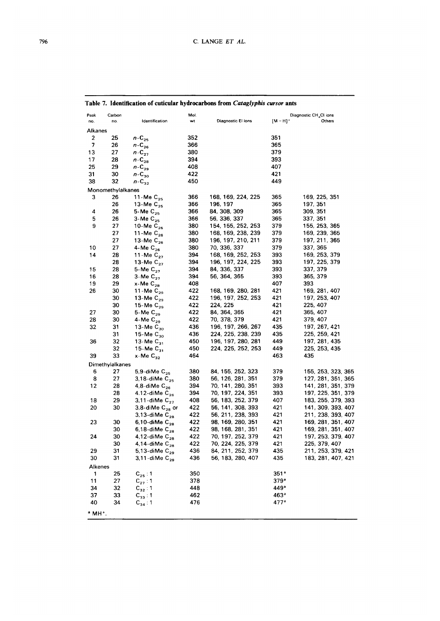| Peak                   | Carbon            |                                         | Mol.       |                                        |                        | Diagnostic CH <sub>4</sub> CI ions       |
|------------------------|-------------------|-----------------------------------------|------------|----------------------------------------|------------------------|------------------------------------------|
| no.                    | no.               | Identification                          | wt         | Diagnostic El ions                     | $[M - H]$ <sup>+</sup> | Others                                   |
| Alkanes                |                   |                                         |            |                                        |                        |                                          |
| $\boldsymbol{2}$       | 25                | $n - C_{25}$                            | 352        |                                        | 351                    |                                          |
| 7                      | 26                | $n - C_{26}$                            | 366        |                                        | 365                    |                                          |
| 13                     | 27                | $n - C_{27}$                            | 380        |                                        | 379                    |                                          |
| 17                     | 28                | $n-C_{28}$                              | 394        |                                        | 393                    |                                          |
| 25                     | 29                | $n-C_{29}$                              | 408        |                                        | 407                    |                                          |
| 31                     | 30                | $n$ -C <sub>30</sub>                    | 422        |                                        | 421                    |                                          |
| 38                     | 32                | $n-C_{32}$                              | 450        |                                        | 449                    |                                          |
|                        | Monomethylalkanes |                                         |            |                                        |                        |                                          |
| 3                      | 26                | 11-Me $C_{25}$                          | 366        | 168, 169, 224, 225                     | 365                    | 169, 225, 351                            |
|                        | 26                | 13-Me $C_{25}$                          | 366        | 196, 197                               | 365                    | 197, 351                                 |
| 4                      | 26                | 5-Me $C_{25}$                           | 366        | 84, 308, 309                           | 365                    | 309, 351                                 |
| 5                      | 26                | $3$ -Me $C_{25}$                        | 366        | 56, 336, 337                           | 365                    | 337, 351                                 |
| 9                      | 27                | 10-Me $C_{26}$                          | 380        | 154, 155, 252, 253                     | 379                    | 155, 253, 365                            |
|                        | 27                | 11-Me $C_{26}$                          | 380        | 168, 169, 238, 239                     | 379                    | 169, 239, 365                            |
|                        | 27                | 13-Me $C_{26}$                          | 380        | 196, 197, 210, 211                     | 379                    | 197, 211, 365                            |
| 10                     | 27                | 4-Me $C_{26}$                           | 380        | 70, 336, 337                           | 379                    | 337, 365                                 |
| 14                     | 28                | 11-Me $C_{27}$                          | 394        | 168, 169, 252, 253                     | 393                    | 169, 253, 379                            |
|                        | 28                | 13-Me $C_{22}$                          | 394        | 196, 197, 224, 225                     | 393                    | 197, 225, 379                            |
| 15                     | 28                | 5-Me $C_{27}$                           | 394        | 84, 336, 337                           | 393                    | 337, 379                                 |
| 16                     | 28                | 3-Me $C_{27}$                           | 394        | 56, 364, 365                           | 393                    | 365, 379                                 |
| 19                     | 29                | $x$ -Me $C_{28}$                        | 408        |                                        | 407                    | 393                                      |
| 26                     | 30                | 11-Me $C_{29}$                          | 422        | 168, 169, 280, 281                     | 421                    | 169, 281, 407                            |
|                        | 30                | 13-Me $C_{29}$                          | 422        | 196, 197, 252, 253                     | 421                    | 197, 253, 407                            |
|                        | 30                | 15-Me $C_{29}$                          | 422        | 224, 225                               | 421                    | 225, 407                                 |
| 27                     | 30                | 5-Me $C_{29}$                           | 422        | 84, 364, 365                           | 421                    | 365, 407                                 |
| 28                     | 30                | 4-Me $C_{29}$                           | 422        | 70, 378, 379                           | 421                    | 379, 407                                 |
| 32                     | 31                | 13-Me $C_{30}$                          | 436        | 196, 197, 266, 267                     | 435                    | 197, 267, 421                            |
|                        | 31                | 15-Me $C_{30}$                          | 436        | 224, 225, 238, 239                     | 435                    | 225, 259, 421                            |
| 36                     | 32                | 13-Me $C_{31}$                          | 450        | 196, 197, 280, 281                     | 449                    | 197, 281, 435                            |
|                        | 32<br>33          | 15-Me $C_{31}$<br>$x$ -Me $C_{32}$      | 450<br>464 | 224, 225, 252, 253                     | 449<br>463             | 225, 253, 435<br>435                     |
| 39                     |                   |                                         |            |                                        |                        |                                          |
|                        | Dimethylalkanes   |                                         |            |                                        |                        |                                          |
| 6<br>8                 | 27                | 5,9-diMe $C_{25}$                       | 380        | 84, 155, 252, 323                      | 379                    | 155, 253, 323, 365                       |
| 12                     | 27<br>28          | 3,18-diMe $C_{25}$<br>4,8-diMe $C_{26}$ | 380        | 56, 126, 281, 351<br>70, 141, 280, 351 | 379<br>393             | 127, 281, 351, 365<br>141, 281, 351, 379 |
|                        | 28                | 4.12-diMe $C_{26}$                      | 394<br>394 | 70, 197, 224, 351                      | 393                    | 197, 225, 351, 379                       |
| 18                     | 29                | 3,11-diMe $C_{27}$                      | 408        | 56, 183, 252, 379                      | 407                    | 183, 255, 379, 393                       |
| 20                     | 30                | 3,8-diMe $\textsf{C}_\textsf{28}$ or    | 422        | 56, 141, 308, 393                      | 421                    | 141, 309, 393, 407                       |
|                        |                   | 3,13-diMe $\rm\,C_{28}$                 | 422        | 56, 211, 238, 393                      | 421                    | 211, 238, 393, 407                       |
| 23                     | 30                | 6,10-diMe $C_{28}$                      | 422        | 98, 169, 280, 351                      | 421                    | 169, 281, 351, 407                       |
|                        | 30                | 6,18-diMe $C_{28}$                      | 422        | 98, 168, 281, 351                      | 421                    | 169, 281, 351, 407                       |
| 24                     | 30                | 4,12-diMe $C_{28}$                      | 422        | 70, 197, 252, 379                      | 421                    | 197, 253, 379, 407                       |
|                        | 30                | 4,14-diMe $C_{28}$                      | 422        | 70, 224, 225, 379                      | 421                    | 225, 379, 407                            |
| 29                     | 31                | 5,13-diMe $C_{29}$                      | 436        | 84, 211, 252, 379                      | 435                    | 211, 253, 379, 421                       |
| 30                     | 31                | 3,11-diMe $\,$ C <sub>29</sub>          | 436        | 56, 183, 280, 407                      | 435                    | 183, 281, 407, 421                       |
| Alkenes                |                   |                                         |            |                                        |                        |                                          |
| 1                      | 25                |                                         | 350        |                                        | 351 <sup>a</sup>       |                                          |
| 11                     | 27                | $C_{25}$ : 1                            | 378        |                                        | 379°                   |                                          |
| 34                     | 32                | $C_{27}$ : 1<br>$C_{32}: 1$             | 448        |                                        | 449ª                   |                                          |
| 37                     | 33                | $C_{33}:1$                              | 462        |                                        | 463 <sup>a</sup>       |                                          |
| 40                     | 34                | $C_{34}:1$                              | 476        |                                        | 477ª                   |                                          |
| $^a$ MH <sup>+</sup> . |                   |                                         |            |                                        |                        |                                          |

# Table 7. Identification of cuticular hydrocarbons from Cataglyphis cursor ants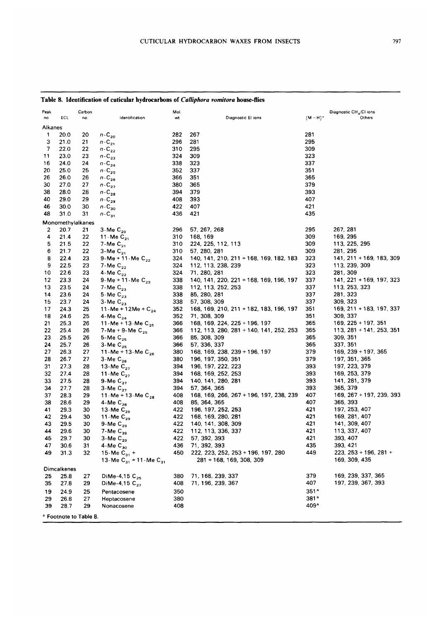#### Table 8. Identification of cuticular hydrocarbons of Calliphora vomitora house-flies Peak Carbon Mol Diagnostic CH<sub>4</sub>/CI ions no ECL no. Identification wt Diagnostic El ions  $[M-H]^+$ Others Alkanes  $n\text{-C}_{20}$ 1 20.0 20 282 267 281  $n\text{-C}_{21}$ 3  $21.0$ 21 296 281 295  $n-C_{22}$  $\overline{7}$ 22.0  $22$ 310 295 309  $n\text{-}\mathbb{C}_{23}$ 324 309 323  $11$ 23.0 23  $n\text{-}\mathsf{C}_{\mathsf{24}}$ 16 24.0 24 338 323 337  $n\text{-}\mathbf{C_{25}}$ 20 25.0 25 352 337 351  $n-C_{26}$ 26 26.0 26 366 351 365  $n\text{-}\mathbf{C}_{\mathbf{27}}$ 30 27.0 27 380 365 379  $n\text{-}\mathbb{C}_{\mathbf{28}}$ 38 28.0 28 394 379 393  $n-C_{29}$ 40 29.0 29 408 393 407  $n\text{-}\mathbf{C_{30}}$ 46 30.0 30 422 407 421  $n$ -C<sub>31</sub> 48  $31.0$ 421 435  $31$ 436 Monomethylalkanes 3-Me $C_{20}$ 296 57, 267, 268 295 267, 281  $\overline{2}$ 20.7  $21$ 11 - Me $C_{21}$ 310 168, 169 309 169, 295  $\overline{\mathbf{4}}$  $21.4$ 22 7-Me $C_{21}$ 113, 225, 295 5 21.5 22 310 224, 225, 112, 113 309  $3-MeC_{21}$ 310 57, 280, 281 309 281, 295 6  $21.7$ 22 8 22.4 23 9-Me + 11-Me  $C_{22}$ 324 140, 141, 210, 211 + 168, 169, 182, 183 323 141, 211 + 169, 183, 309 7-Me $C_{22}$ 113, 239, 309  $\boldsymbol{9}$ 22.5 23 324 112, 113, 238, 239 323 71, 280, 281 281, 309  $10$ 22.6 23 4-Me $C_{22}$ 324 323 9-Me +  $11 -$ Me  $C_{23}$ 141, 221 + 169, 197, 323  $12$ 23.3 24 338 140, 141, 220, 221 + 168, 169, 196, 197 337 7-Me $C_{23}$ 13 23.5 24 338 112, 113, 252, 253 337 113, 253, 323 5-Me  $C_{23}$  $14$ 23.6 24 338 85, 280, 281 337 281, 323 15 23.7 24 3-Me  $C_{23}$ 338 57, 308, 309 337 309.323 11-Me + 12Me +  $C_{24}$ 24.3 25 352 168, 169, 210, 211 + 182, 183, 196, 197 351 169, 211 + 183, 197, 337  $17$ 71, 308, 309 309, 337 18 24.6 25 4-Me $C_{24}$ 352 351 11-Me + 13-Me  $C_{25}$  $21$ 25.3 26 366 168, 169, 224, 225 + 196, 197 365 169, 225 + 197, 351 112, 113, 280, 281 + 140, 141, 252, 253 113, 281 + 141, 253, 351 7-Me + 9-Me  $C_{25}$  $22$ 25.4 366 365 26 5-Me  $C_{25}$ 25.5 366 85, 308, 309 365 309, 351 23 26  $3-Me C_{25}$ 57, 336, 337 337, 351  $24$ 25.7 26 366 365 27 26.3 27 11-Me + 13-Me  $C_{26}$ 380 168, 169, 238, 239 + 196, 197 379 169, 239 + 197, 365  $3-Me C_{26}$ 196, 197, 350, 351 197, 351, 365 28 26.7 380 379 27 13-Me $C_{27}$ 31 27.3 28 394 196, 197, 222, 223 393 197, 223, 379 168, 169, 252, 253 11-Me $C_{27}$ 394 169, 253, 379 32 393 27.4 28 33 27.5 28 9-Me $C_{27}$ 394 140, 141, 280, 281 393 141, 281, 379 3-Me $C_{27}$ 57, 364, 365 34  $277$ 394 393 365, 379 28 168, 169, 266, 267 + 196, 197, 238, 239 169, 267 + 197, 239, 393 37 28.3 11-Me + 13-Me  $C_{28}$ 408 407 29 4-Me  $C_{28}$ 408 85, 364, 365 407 365, 393 38 28.6 29 41 29.3 30 13-Me $C_{29}$ 422 196, 197, 252, 253 421 197, 253, 407 11 - Me $\overline{C}_{29}$ 168, 169, 280, 281 42 29.4 422 421 169, 281, 407 30 140, 141, 308, 309 141, 309, 407 43 29.5 30 9-Me $C_{29}$ 422 421 7-Me $\overline{C}_{29}$ 112, 113, 336, 337 113, 337, 407 44 29.6 30 422 421 3-Me $C_{29}$ 45 57, 392, 393 393, 407 29.7 30 422 421 4-Me $C_{30}$ 393, 421 47 30.6 31 436 71, 392, 393 435 222, 223, 252, 253 + 196, 197, 280 223, 253 + 196, 281 + 49  $31.3$ 32 15-Me  $C_{31}$  + 450 449 13-Me  $C_{31}$  + 11-Me  $C_{31}$ 281 + 168, 169, 308, 309 169, 309, 435 **Dimcalkenes** DiMe-4,15 C<sub>25</sub> 379 169, 239, 337, 365 25 25.8 27 380 71, 168, 239, 337 DiMe-4,15 C<sub>27</sub> 71, 196, 239, 367 407 197, 239, 367, 393 27.8 29 408 35 350  $351<sup>a</sup>$ 24.9 25 Pentacosene 19 29 26.8 27 Heptacosene 380  $381<sup>a</sup>$ 409<sup>a</sup> 39 29 408 28.7 Nonacosene <sup>a</sup> Footnote to Table 8.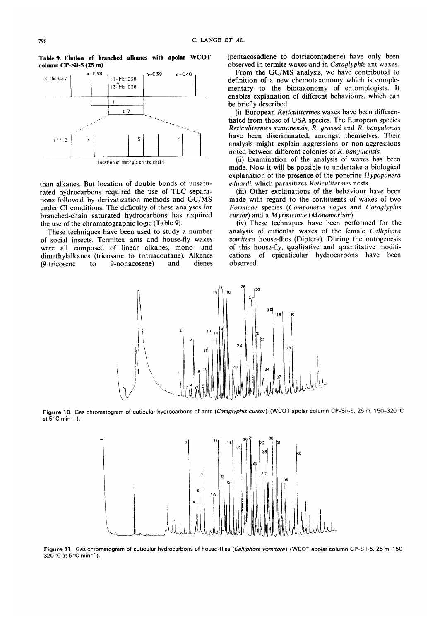**Table 9. Elution of branched alkanes with apolar WCOT**  column CP-Sil-5 (25 m)



Location of rnethyls **on ihe chain** 

than alkanes. But location of double bonds of unsaturated hydrocarbons required the use of TLC separations followed by derivatization methods and GC/MS under CI conditions. The dificulty of these analyses for branched-chain saturated hydrocarbons has required the use of the chromatographic logic (Table 9).

These techniques have been used to study a number of social insects. Termites, ants and house-fly waxes were al1 composed of linear alkanes, mono- and dimethylalkanes (tricosane to tritriacontane). Alkenes<br>(9-tricosene to 9-nonacosene) and dienes (9-tricosene to 9-nonacosene) and

(pentacosadiene to dotriacontadiene) have only been observed in termite waxes and in *Cataylyphis* ant waxes.

From the GC/MS analysis, we have contributed to definition **of** a new chemotaxonomy which is complementary to the biotaxonomy of entomologists. It enables explanation of different behaviours, which can be briefly described :

(i) European *Reticuliterrnes* waxes have been differentiated from those of **USA** species. The Europcan species *Reticulitermes santonensis, R. grassei* and *R. banyulensis*  have been discriminated, amongst themselves. Their analysis might explain aggressions or non-aggressions noted between different colonies of *R. banyulensis.* 

(ii) Examination of the analysis of waxes has been made. Now it will be posible to undertake a biological explanation of the presence of the ponerine *Hypoponera eduardi,* which parasitizes *Reticulitermes* nests.

(iii) Other explanations of the behaviour have been made with regard to the contituents of waxes of two *Formicue* species *(Camponotus iugus* and *Cataglyphis cursor)* and a *Myrmicinue (Monomorium).* 

(iv) These techniques have been performed for the analysis of cuticular waxes of the female *Culiiphora*  vomitora house-flies (Diptera). During the ontogenesis of this house-fly, qualitative and quantitative modifications of epicuticular hydrocarbons have been observed.



**Figure 10.** Gas chromatogram of cuticular hydrocarbons of ants (Cataglyphis *cursor)* (WCOT apolar column CP-Sil-5, 25 m, 150-320°C at  $5^{\circ}$ C min<sup>-1</sup>).



Figure 11. Gas chromatogram of cuticular hydrocarbons of house-flies (Calliphora vomitora) (WCOT apolar column CP-Sil-5, 25 m, 150-320°C at 5°C **min-').**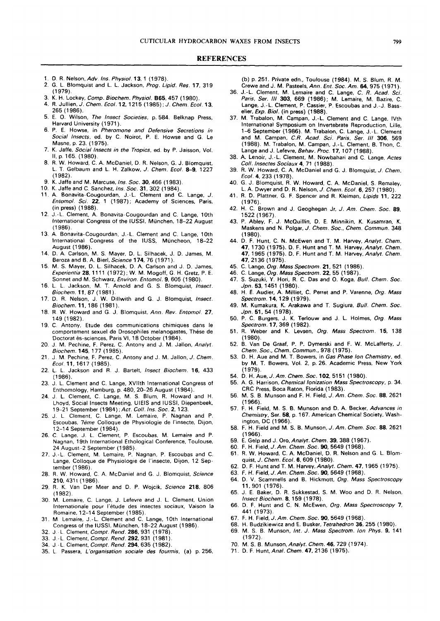#### **REFERENCES**

- 1. D. **R.** Nelson, *Adv. lns. Physiol.* 13, 1 (1 978).
- 2. G. L. Blornquist and L. L. Jackson, *Prog. Lipid. Res.* 17, 31 9 (1979).
- 3. K. H. Lockey, *Comp. Biochem. Physiol.* 865.457 (1980).
- 4. R. Jullien.J. *Chem.* Ecol. 12, 1215 (1985);J. *Chem. Ecol.* 13, 265 (1 986).
- 5. **E.** O. Wilson, *The lnsect Societies,* p. 584. Belknap Press, Harvard University (1971).
- 6. P. E. Howse, in *Pheromone and Defensive Secretions in Social lnsects,* ed. by C. Noirot, P. E. Howse and G. Le Mame, p. 23. (1975).
- 7. K. Jaffe. *Social lnsects in the Tropics.* ed. by P. Jaisson, Vol. 11, p. 165. (1980).
- 8. **R.** W. Howard, C. A. McDaniel, D. **R.** Nelson, G. J. Blornquist, L. T. Gelbaurn and L. H. Zalkow, *J. Chem. Ecol.* 8-9, 1227  $(1982)$ .
- 9. K. Jaffe and M. Marcuse, lns. *Soc.* 30, 466 (1 983).
- 1 **O.** K. Jaffe and C. Sanchez, *Ins. Soc.* 31, 302 (1 984).
- 11. A. Bonavita-Cougourdan, J.-L. Clement and C. Lange, *J. Entomol. Sci.* 22, 1 (1987); Acaderny of Sciences, Paris, (in press) (1 988).
- 12. J.-L. Clernent, A. Bonavita-Cougourdan and C. Lange, 10th lnternational Congress of the IUSSI. München, 18-22 August  $(1986)$
- 13. A. Bonavita-Cougourdan, J.-L. Clernent and C. Lange, 10th lnternational Congress of the IUSC, Müncheon, 18-22 August (1986).
- 14. D. A. Carlson, M. **S.** Mayer, D. L. Silhacek, J. D. James, M. Beroza and **B.** A. Bierl, *Science* 174, 76 (1971).
- 15. M. **S.** Mayer, D. L. Silhacek. D. A. Carlson and J. D. James, *Experientia* 28, 11 11 (1 972) ; W. M. Mogoff, G. H. Gretz. P. E. Sonnet and M. Schwarz, *Environ. Entomol.* 9,605 (1980).
- 16. L. L. Jackson, M. T. Arnold and G. S. Blornquist, *lnsect. Biochem.* 11,87 (1981).
- 17. D. **R.** Nelson, J. W. Dillwith and G. J. Blornquist, *lnsect. Biochem.* 11,186 (1981).
- 18. **R** W. Howard and G. J. Blornquist, *Ann. Rev. Entomol.* 27, 149 (1982).
- 19. C. Antony. Etude des cornmunications chimiques dans le comportement sexuel de Drosophiles melanogastes. These de Doctorat ès-sciences, Paris VI, 18 October (1984).
- 20. J. M. Pechine, F. Perez. C. Antony and J. M. Jallon, *Analyt. Biochem.* 145,177 (1985).
- 21. J M. Pechine, F. Perez, C. Antony and J. M. Jallon. *J. Chem.*  Ecol. 11, 1617 (1985).
- 22. L. L. Jackson and **R.** J. Bartelt, *lnsect Biochem.* 16, 433 (1986).
- 23. J. L. Clement and C. Lange, XVllth lnternational Congress of Enthomology, Hamburg, p. 480, 20-26 August (1984).
- 24. J. L. Clement, C. Lange, M. **S.** Blum, **R.** Howard and H. Lhoyd, Social lnsects Meeting, UlElS and IUSSI, Diepenbeek, 19-21 Septernber (1 984) *;Acr. Coll. lns. Soc.* 2, 123.
- 25. J. L. Clement, C. Lange. M. Lemaire, P. Nagnan and P. Escoubas, *7eme* Colloque de Physiologie de I'insecte, Dijon. 12-1 4 September (1 984).
- 26. C. Lange, **J. L.** Clement, P. Escoubas, M. Lemaire and P. Nagnan, 19th lnternational Ethological Conference, Toulouse, 24 August-2 September (1985).
- 27. J.-L. Clernent, M. Lemaire. P. Nagnan, P. Escoubas and C. Lange, Colloque de Physiologie de I'insecte, Dijon. 12 September (1986).
- 28. **R.** W. Howard, C. A. McDaniel and G. J. Blornquist, *Science*  210, 4311 (1986).
- 29. **R.** K. Van Der Meer and D. P. Wojcik, *Science* 218, 806 (1 982).
- 30. M. Lernaire, C. Lange, J. Lefevre and J. L. Clement, Union Internationale pour l'étude des insectes sociaux, Vaison la Romaine, 12-14 September (1985).
- 31. M Lemaire, J.-L. Clement and C. Lange, 10th lnternational Congress of the IUSSI. München, 18-22 August (1986).
- 32. J.-L. Clernent, *Compr. Rend.* 286, 931 (1978).
- 33. J.- L. Clement, *Compt. Rend.* 292, 931 (1 981 ).
- 34. J -L. Clernent, *Compt. Rend.* 294, 635 (1982).
- 35. L Passera. *L'organisation sociale des fourmis,* (a) p. 256,

(b) p. 251. Private edn., Toulouse (1984). M. **S.** Blurn, **R.** M. Crewe and J. M. Pasteels, *Ann. Ent. Soc. Am.* 64,975 (1971).

- 36. J.-L. Clement. M. Lemaire and C. Lange, *C. R. Acad. Sci. Paris, Ser. 111* 303, 669 (1986); M. Lernaire, M. Bazire, C. Lange, J.-L. Clement, P. Cassier, P. Escoubas and J.-J. **8ass**elier, *Exp.* Biol. (in press) (1 988).
- 37. M. Trabalon, M. Campan, J.-L. Clement and C. Lange, IVth International Symposium on Invertebrate Reproduction, Lille, 1-6 Septernber (1986). M. Trabalon, C. Lange, J.-L. Clernent and M. Carnpan. C.R. *Acad. Sci. Paris, Ser.* 111 306. 569 (1988). M. Trabalon, M. Carnpan, J.-L. Clernent, B. Thon, C. Lange and J. Lefevre, *Behav. Proc.* 17, 107 (1988).
- 38. A. Lenoir, J.-L. Clement, M. Nowbahari and C. Lange, *Actes Coll. lnsectes Sociaux* 4. 71 (1 988).
- 39. **R.** W. Howard, C. A. McDaniel and G. J. Blornquist, *J. Chem. Ecol.* 4, 233 (1978).
- 40. G. J. Blornquist. **R.** W. Howard. C. A. McDaniel, **S.** Remaley, L. A. Dwyer and D. R. Nelson, *J. Chem.* Ecol. *6,* 257 (1 980).
- 41. **R. D.** Plattner. G. F. Spencer and **R.** Kleiman, *Lipids* 11, 222  $(1976)$
- 42. H. C. Brown and J. Geoghegan Jr, *J. Am. Chem. Soc.* 89, 1522 (1 967).
- 43. P. Abley, **F.** J. McQuillin, D. E. Minnikin, K. Kusarnran, K. Maskens and N. Polgar. *J. Chem. Soc.. Chem. Commun.* 348 (1980).
- 44. D. **F.** Hunt, C. N. McEwen and **T.** M. Harvey, *Analyt. Chem.*  47, 1730 (1975). **D.** F. Hunt and T. M. Harvey, *Analyt. Chem.*  47, 1965 (1 975). D. F. Hunt and T. M. Harvey. *Analyt. Chem.*  47,2136 (1975).
- 45. C. Lange, *Org. Mass Specrrom.* 21, 521 (1 986).
- 46. C. Lange, *Org. Mass Spectrom.* 22, 55 (1987).
- 47. **S.** Suzuki. Y. Hori, R. C. Das and O. Koga, *Bull. Chem. Soc. Jpn.* 53, 1451 (1980).
- 48. H. **E.** Audier, A. Milliet, C. Perret and P. Varenne, *Org. Mass Spectrom.* 14,129 (1979).
- 49. M. Kumakura, K. Arakawa and T. Sugiura, *Bull. Chem. Soc. Jpn.* 51, 54 (1978).
- 50. **P.** C. Burgers, J. K. Terlouw and J. L. Holrnes, *Org.* Mass *Spectrom.* 17,369 (1 982).
- 51. **R.** Weber and K. Levsen, *Org. Mass Spectrom.* 15. 138 (1980).
- 52. B. Van De Graaf, P. P. Dymerski and F. W. McLafferty, *J. Chem. Soc., Chem. Commun., 978 (1975).*
- 53. D. H. Aue and M. T. Bowers, in *Gas Phase lon Chemistry,* ed. by M. T. Bowers, Vol. 2, p. 26. Acadernic Press, New York (1979).
- 54. D. H. Aue, *J. Am. Chem. Soc.* 102, 5151 (1980).
- 55. A. G. Harrison, *Chemical lonization Mas Spectroscopy.* p. 34. CRC Press, Boca Raton, Florida (1983).
- 56. M. **C. B.** Munson and **F.** H. Field, *J. Am. Chem. Soc.* 88, 2621 (1966).
- 57. **F.** H. Field, M. **S.** *8.* Munson and D. A. Becker, *Advances in Chemistry,* Ser. 58, p. 167. American Chernical Society. Washington. DC (1966).
- 58. F.' H. Field and M. **S.** B. Munson, *J. Am. Chem. Soc. 88.* 2621 (1966).
- 59. E. Gelp and J. Oro, *Analyt. Chem.* 39, 388 (1 967).
- 60. F. H. Field, *J. Am. Chem. Soc.* **90,** 5649 (1 968).
- 61. **R.** W. Howard, C. A. McDaniel, D. **R.** Nelson and G. L. Blomquist, *J. Chem.* Ecol. 6,609 (1980).
- 62. D. **F.** Hunt and T. M. Harvey, *Analyt. Chem.* 47,1965 (1 975).
- 63. f. **H.** Field, *J. Am. Chem. Soc. 90,* 5649 (1 968).
- 64. D. **V.** Scamrnells and **B.** Hickrnott, *Org. Mass Spectroscopy*  11,901 (1976).
- 65. J. E. Baker, D. **R.** Sukkestad, **S.** M. Woo and D. **R.** Nelson. *lnsect Biochem.* 8, 1 59 (1 978).
- 66. D. F. Hunt and C. N. McEwen, *Org. Mass Spectroscopy* 7, 441 (1973).
- 67. F. H. Field, *J. Am. Chem. Soc.* **90,** 5649 (1 968).
- 68. H. Budzikiewicz and E. Busker, *ietrahedron* 36, 255 (1980).
- 69. M. S. B. Munson, *lnr. J. Mas Spectrom. lon Phys.* 9, 141  $(1972)$ .
- 70. M. **S. B.** *Munson,Ana/yt. Chem.* 46, 729 (1974).
- 71. D. F. *Hunt,Ana/. Chem.* 47,2136 (1975).